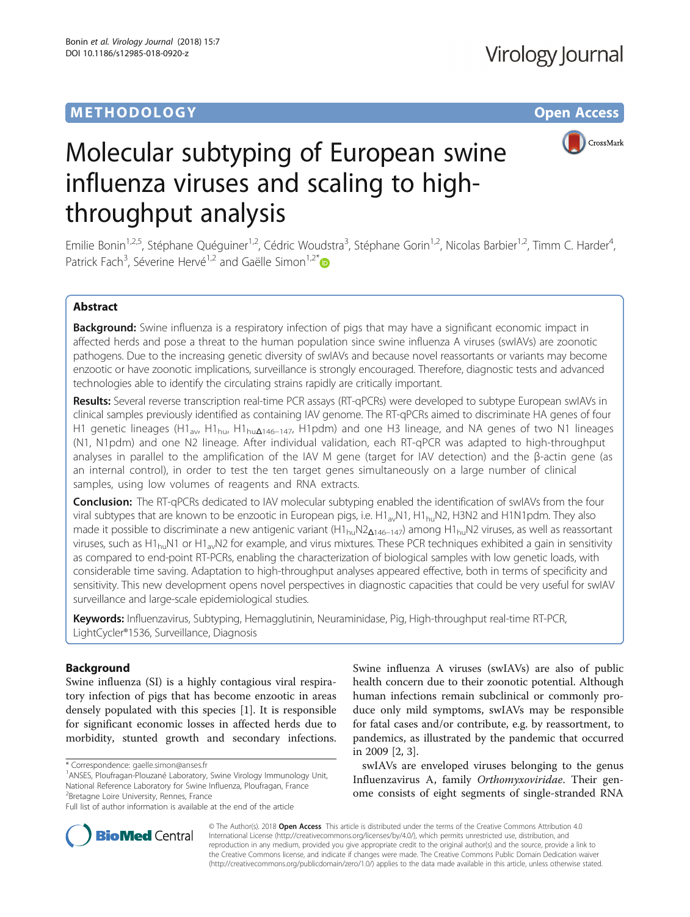# **METHODOLOGY CONSUMING ACCESS**



# Molecular subtyping of European swine influenza viruses and scaling to highthroughput analysis

Emilie Bonin<sup>1,2,5</sup>, Stéphane Quéguiner<sup>1,2</sup>, Cédric Woudstra<sup>3</sup>, Stéphane Gorin<sup>1,2</sup>, Nicolas Barbier<sup>1,2</sup>, Timm C. Harder<sup>4</sup> , Patrick Fach<sup>3</sup>, Séverine Hervé<sup>1,2</sup> and Gaëlle Simon<sup>1,2\*</sup>

# Abstract

Background: Swine influenza is a respiratory infection of pigs that may have a significant economic impact in affected herds and pose a threat to the human population since swine influenza A viruses (swIAVs) are zoonotic pathogens. Due to the increasing genetic diversity of swIAVs and because novel reassortants or variants may become enzootic or have zoonotic implications, surveillance is strongly encouraged. Therefore, diagnostic tests and advanced technologies able to identify the circulating strains rapidly are critically important.

Results: Several reverse transcription real-time PCR assays (RT-qPCRs) were developed to subtype European swIAVs in clinical samples previously identified as containing IAV genome. The RT-qPCRs aimed to discriminate HA genes of four H1 genetic lineages (H1<sub>av</sub>, H1<sub>hu</sub>, H1<sub>hu</sub>Δ<sub>146–147</sub>, H1pdm) and one H3 lineage, and NA genes of two N1 lineages (N1, N1pdm) and one N2 lineage. After individual validation, each RT-qPCR was adapted to high-throughput analyses in parallel to the amplification of the IAV M gene (target for IAV detection) and the β-actin gene (as an internal control), in order to test the ten target genes simultaneously on a large number of clinical samples, using low volumes of reagents and RNA extracts.

Conclusion: The RT-qPCRs dedicated to IAV molecular subtyping enabled the identification of swIAVs from the four viral subtypes that are known to be enzootic in European pigs, i.e.  $H1_{av}N1$ ,  $H1_{bu}N2$ , H3N2 and H1N1pdm. They also made it possible to discriminate a new antigenic variant  $(H1_{hu}N2_{A146-147})$  among  $H1_{hu}N2$  viruses, as well as reassortant viruses, such as H1<sub>hu</sub>N1 or H1<sub>av</sub>N2 for example, and virus mixtures. These PCR techniques exhibited a gain in sensitivity as compared to end-point RT-PCRs, enabling the characterization of biological samples with low genetic loads, with considerable time saving. Adaptation to high-throughput analyses appeared effective, both in terms of specificity and sensitivity. This new development opens novel perspectives in diagnostic capacities that could be very useful for swIAV surveillance and large-scale epidemiological studies.

Keywords: Influenzavirus, Subtyping, Hemagglutinin, Neuraminidase, Pig, High-throughput real-time RT-PCR, LightCycler®1536, Surveillance, Diagnosis

# Background

Swine influenza (SI) is a highly contagious viral respiratory infection of pigs that has become enzootic in areas densely populated with this species [\[1](#page-16-0)]. It is responsible for significant economic losses in affected herds due to morbidity, stunted growth and secondary infections.

<sup>1</sup> ANSES, Ploufragan-Plouzané Laboratory, Swine Virology Immunology Unit, National Reference Laboratory for Swine Influenza, Ploufragan, France <sup>2</sup> Bretagne Loire University, Rennes, France

Swine influenza A viruses (swIAVs) are also of public health concern due to their zoonotic potential. Although human infections remain subclinical or commonly produce only mild symptoms, swIAVs may be responsible for fatal cases and/or contribute, e.g. by reassortment, to pandemics, as illustrated by the pandemic that occurred in 2009 [\[2](#page-16-0), [3](#page-16-0)].

swIAVs are enveloped viruses belonging to the genus Influenzavirus A, family Orthomyxoviridae. Their genome consists of eight segments of single-stranded RNA



© The Author(s). 2018 Open Access This article is distributed under the terms of the Creative Commons Attribution 4.0 International License [\(http://creativecommons.org/licenses/by/4.0/](http://creativecommons.org/licenses/by/4.0/)), which permits unrestricted use, distribution, and reproduction in any medium, provided you give appropriate credit to the original author(s) and the source, provide a link to the Creative Commons license, and indicate if changes were made. The Creative Commons Public Domain Dedication waiver [\(http://creativecommons.org/publicdomain/zero/1.0/](http://creativecommons.org/publicdomain/zero/1.0/)) applies to the data made available in this article, unless otherwise stated.

<sup>\*</sup> Correspondence: [gaelle.simon@anses.fr](mailto:gaelle.simon@anses.fr) <sup>1</sup>

Full list of author information is available at the end of the article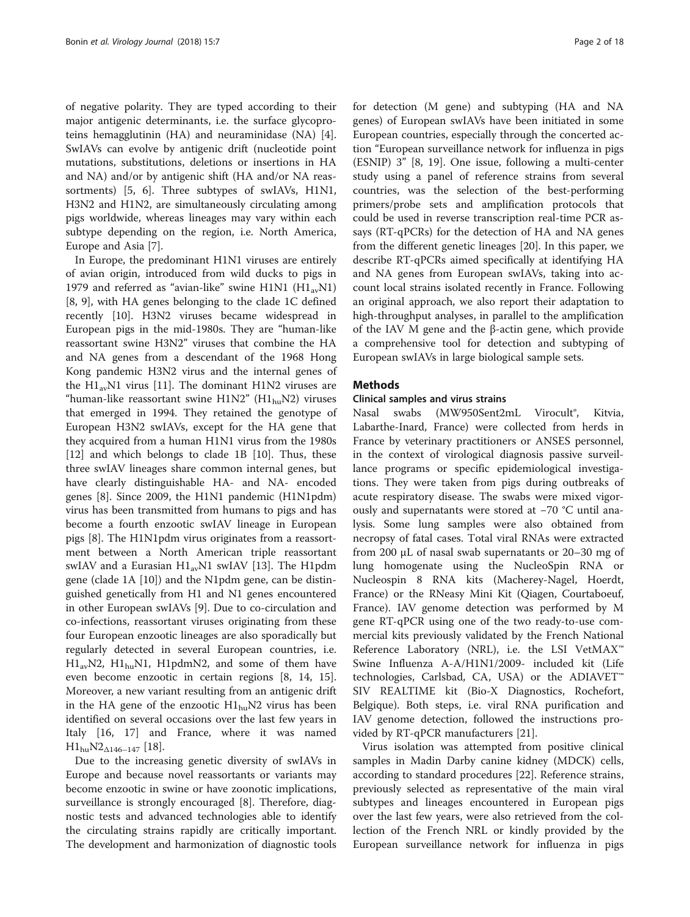of negative polarity. They are typed according to their major antigenic determinants, i.e. the surface glycoproteins hemagglutinin (HA) and neuraminidase (NA) [\[4](#page-16-0)]. SwIAVs can evolve by antigenic drift (nucleotide point mutations, substitutions, deletions or insertions in HA and NA) and/or by antigenic shift (HA and/or NA reassortments) [[5, 6\]](#page-16-0). Three subtypes of swIAVs, H1N1, H3N2 and H1N2, are simultaneously circulating among pigs worldwide, whereas lineages may vary within each subtype depending on the region, i.e. North America, Europe and Asia [[7\]](#page-16-0).

In Europe, the predominant H1N1 viruses are entirely of avian origin, introduced from wild ducks to pigs in 1979 and referred as "avian-like" swine H1N1  $(H1_{av}N1)$ [[8, 9](#page-16-0)], with HA genes belonging to the clade 1C defined recently [[10\]](#page-16-0). H3N2 viruses became widespread in European pigs in the mid-1980s. They are "human-like reassortant swine H3N2" viruses that combine the HA and NA genes from a descendant of the 1968 Hong Kong pandemic H3N2 virus and the internal genes of the  $H1_{av}$ N1 virus [\[11](#page-16-0)]. The dominant H1N2 viruses are "human-like reassortant swine  $H1N2$ " ( $H1_{hu}N2$ ) viruses that emerged in 1994. They retained the genotype of European H3N2 swIAVs, except for the HA gene that they acquired from a human H1N1 virus from the 1980s [[12\]](#page-16-0) and which belongs to clade 1B [\[10\]](#page-16-0). Thus, these three swIAV lineages share common internal genes, but have clearly distinguishable HA- and NA- encoded genes [\[8](#page-16-0)]. Since 2009, the H1N1 pandemic (H1N1pdm) virus has been transmitted from humans to pigs and has become a fourth enzootic swIAV lineage in European pigs [\[8](#page-16-0)]. The H1N1pdm virus originates from a reassortment between a North American triple reassortant swIAV and a Eurasian  $H1_{av}N1$  swIAV [[13\]](#page-16-0). The H1pdm gene (clade 1A [[10](#page-16-0)]) and the N1pdm gene, can be distinguished genetically from H1 and N1 genes encountered in other European swIAVs [[9\]](#page-16-0). Due to co-circulation and co-infections, reassortant viruses originating from these four European enzootic lineages are also sporadically but regularly detected in several European countries, i.e.  $H1_{av}N2$ ,  $H1_{hu}N1$ ,  $H1_{pd}MN2$ , and some of them have even become enzootic in certain regions [[8, 14, 15](#page-16-0)]. Moreover, a new variant resulting from an antigenic drift in the HA gene of the enzootic  $H1_{\text{hu}}N2$  virus has been identified on several occasions over the last few years in Italy [\[16](#page-16-0), [17\]](#page-16-0) and France, where it was named  $H1_{hu}N2_{\Delta 146-147}$  [\[18\]](#page-16-0).

Due to the increasing genetic diversity of swIAVs in Europe and because novel reassortants or variants may become enzootic in swine or have zoonotic implications, surveillance is strongly encouraged [[8\]](#page-16-0). Therefore, diagnostic tests and advanced technologies able to identify the circulating strains rapidly are critically important. The development and harmonization of diagnostic tools

for detection (M gene) and subtyping (HA and NA genes) of European swIAVs have been initiated in some European countries, especially through the concerted action "European surveillance network for influenza in pigs (ESNIP) 3" [\[8](#page-16-0), [19](#page-16-0)]. One issue, following a multi-center study using a panel of reference strains from several countries, was the selection of the best-performing primers/probe sets and amplification protocols that could be used in reverse transcription real-time PCR assays (RT-qPCRs) for the detection of HA and NA genes from the different genetic lineages [[20\]](#page-16-0). In this paper, we describe RT-qPCRs aimed specifically at identifying HA and NA genes from European swIAVs, taking into account local strains isolated recently in France. Following an original approach, we also report their adaptation to high-throughput analyses, in parallel to the amplification of the IAV M gene and the β-actin gene, which provide a comprehensive tool for detection and subtyping of European swIAVs in large biological sample sets.

# Methods

# Clinical samples and virus strains

Nasal swabs (MW950Sent2mL Virocult®, Kitvia, Labarthe-Inard, France) were collected from herds in France by veterinary practitioners or ANSES personnel, in the context of virological diagnosis passive surveillance programs or specific epidemiological investigations. They were taken from pigs during outbreaks of acute respiratory disease. The swabs were mixed vigorously and supernatants were stored at −70 °C until analysis. Some lung samples were also obtained from necropsy of fatal cases. Total viral RNAs were extracted from 200 μL of nasal swab supernatants or 20–30 mg of lung homogenate using the NucleoSpin RNA or Nucleospin 8 RNA kits (Macherey-Nagel, Hoerdt, France) or the RNeasy Mini Kit (Qiagen, Courtaboeuf, France). IAV genome detection was performed by M gene RT-qPCR using one of the two ready-to-use commercial kits previously validated by the French National Reference Laboratory (NRL), i.e. the LSI VetMAX™ Swine Influenza A-A/H1N1/2009- included kit (Life technologies, Carlsbad, CA, USA) or the ADIAVET™ SIV REALTIME kit (Bio-X Diagnostics, Rochefort, Belgique). Both steps, i.e. viral RNA purification and IAV genome detection, followed the instructions provided by RT-qPCR manufacturers [\[21\]](#page-16-0).

Virus isolation was attempted from positive clinical samples in Madin Darby canine kidney (MDCK) cells, according to standard procedures [\[22](#page-16-0)]. Reference strains, previously selected as representative of the main viral subtypes and lineages encountered in European pigs over the last few years, were also retrieved from the collection of the French NRL or kindly provided by the European surveillance network for influenza in pigs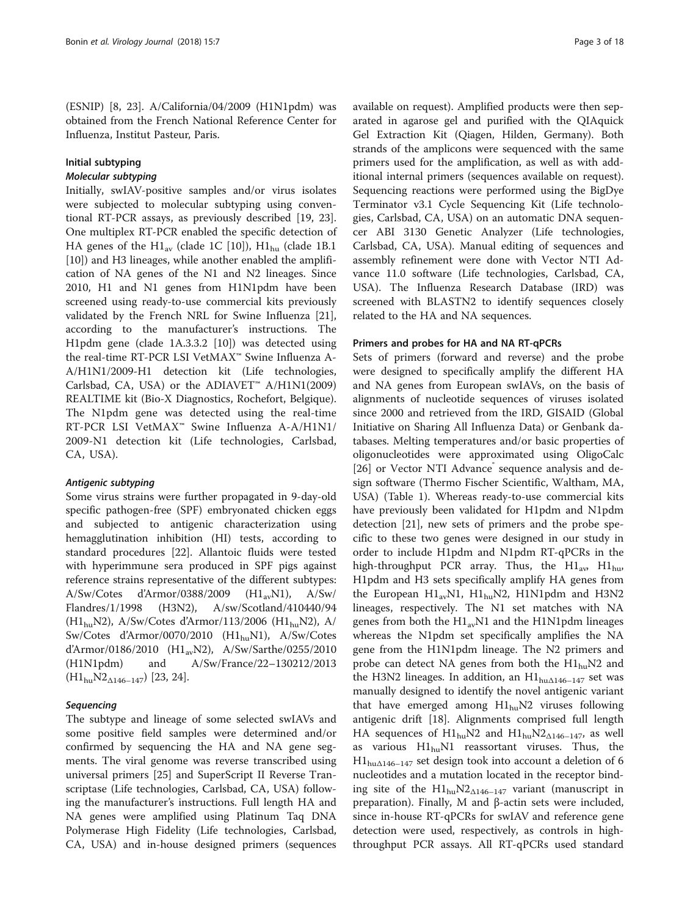(ESNIP) [[8, 23](#page-16-0)]. A/California/04/2009 (H1N1pdm) was obtained from the French National Reference Center for Influenza, Institut Pasteur, Paris.

# Initial subtyping

Initially, swIAV-positive samples and/or virus isolates were subjected to molecular subtyping using conventional RT-PCR assays, as previously described [\[19, 23](#page-16-0)]. One multiplex RT-PCR enabled the specific detection of HA genes of the  $H1_{av}$  (clade 1C [[10\]](#page-16-0)),  $H1_{hu}$  (clade 1B.1 [[10\]](#page-16-0)) and H3 lineages, while another enabled the amplification of NA genes of the N1 and N2 lineages. Since 2010, H1 and N1 genes from H1N1pdm have been screened using ready-to-use commercial kits previously validated by the French NRL for Swine Influenza [\[21](#page-16-0)], according to the manufacturer's instructions. The H1pdm gene (clade 1A.3.3.2 [[10](#page-16-0)]) was detected using the real-time RT-PCR LSI VetMAX™ Swine Influenza A-A/H1N1/2009-H1 detection kit (Life technologies, Carlsbad, CA, USA) or the ADIAVET™ A/H1N1(2009) REALTIME kit (Bio-X Diagnostics, Rochefort, Belgique). The N1pdm gene was detected using the real-time RT-PCR LSI VetMAX™ Swine Influenza A-A/H1N1/ 2009-N1 detection kit (Life technologies, Carlsbad, CA, USA).

Some virus strains were further propagated in 9-day-old specific pathogen-free (SPF) embryonated chicken eggs and subjected to antigenic characterization using hemagglutination inhibition (HI) tests, according to standard procedures [\[22\]](#page-16-0). Allantoic fluids were tested with hyperimmune sera produced in SPF pigs against reference strains representative of the different subtypes:  $A/Sw/Cotes$  d'Armor/0388/2009 ( $H1_{av}N1$ ),  $A/Sw/$ Flandres/1/1998 (H3N2), A/sw/Scotland/410440/94  $(H1_{hu}N2)$ , A/Sw/Cotes d'Armor/113/2006 (H1<sub>hu</sub>N2), A/ Sw/Cotes d'Armor/0070/2010 (H1<sub>hu</sub>N1), A/Sw/Cotes d'Armor/0186/2010 (H1<sub>av</sub>N2), A/Sw/Sarthe/0255/2010 (H1N1pdm) and A/Sw/France/22–130212/2013  $(H1_{hu}N2_{\Delta 146-147})$  [\[23](#page-16-0), [24](#page-17-0)].

The subtype and lineage of some selected swIAVs and some positive field samples were determined and/or confirmed by sequencing the HA and NA gene segments. The viral genome was reverse transcribed using universal primers [\[25](#page-17-0)] and SuperScript II Reverse Transcriptase (Life technologies, Carlsbad, CA, USA) following the manufacturer's instructions. Full length HA and NA genes were amplified using Platinum Taq DNA Polymerase High Fidelity (Life technologies, Carlsbad, CA, USA) and in-house designed primers (sequences

available on request). Amplified products were then separated in agarose gel and purified with the QIAquick Gel Extraction Kit (Qiagen, Hilden, Germany). Both strands of the amplicons were sequenced with the same primers used for the amplification, as well as with additional internal primers (sequences available on request). Sequencing reactions were performed using the BigDye Terminator v3.1 Cycle Sequencing Kit (Life technologies, Carlsbad, CA, USA) on an automatic DNA sequencer ABI 3130 Genetic Analyzer (Life technologies, Carlsbad, CA, USA). Manual editing of sequences and assembly refinement were done with Vector NTI Advance 11.0 software (Life technologies, Carlsbad, CA, USA). The Influenza Research Database (IRD) was screened with BLASTN2 to identify sequences closely related to the HA and NA sequences.

# Primers and probes for HA and NA RT-qPCRs

Sets of primers (forward and reverse) and the probe were designed to specifically amplify the different HA and NA genes from European swIAVs, on the basis of alignments of nucleotide sequences of viruses isolated since 2000 and retrieved from the IRD, GISAID (Global Initiative on Sharing All Influenza Data) or Genbank databases. Melting temperatures and/or basic properties of oligonucleotides were approximated using OligoCalc [[26\]](#page-17-0) or Vector NTI Advance sequence analysis and design software (Thermo Fischer Scientific, Waltham, MA, USA) (Table [1](#page-3-0)). Whereas ready-to-use commercial kits have previously been validated for H1pdm and N1pdm detection [\[21\]](#page-16-0), new sets of primers and the probe specific to these two genes were designed in our study in order to include H1pdm and N1pdm RT-qPCRs in the high-throughput PCR array. Thus, the  $H1_{av}$ ,  $H1_{hu}$ , H1pdm and H3 sets specifically amplify HA genes from the European H1<sub>av</sub>N1, H1<sub>hu</sub>N2, H1N1pdm and H3N2 lineages, respectively. The N1 set matches with NA genes from both the  $H1_{av}N1$  and the H1N1pdm lineages whereas the N1pdm set specifically amplifies the NA gene from the H1N1pdm lineage. The N2 primers and probe can detect NA genes from both the  $H1_{hu}N2$  and the H3N2 lineages. In addition, an  $H1_{hu\Delta 146-147}$  set was manually designed to identify the novel antigenic variant that have emerged among  $H1_{hu}N2$  viruses following antigenic drift [\[18\]](#page-16-0). Alignments comprised full length HA sequences of  $H1_{hu}N2$  and  $H1_{hu}N2_{\Delta 146-147}$ , as well as various  $H1_{hu}N1$  reassortant viruses. Thus, the  $H1_{hu\Delta 146-147}$  set design took into account a deletion of 6 nucleotides and a mutation located in the receptor binding site of the  $H1_{hu}N2_{\Delta 146-147}$  variant (manuscript in preparation). Finally, M and β-actin sets were included, since in-house RT-qPCRs for swIAV and reference gene detection were used, respectively, as controls in highthroughput PCR assays. All RT-qPCRs used standard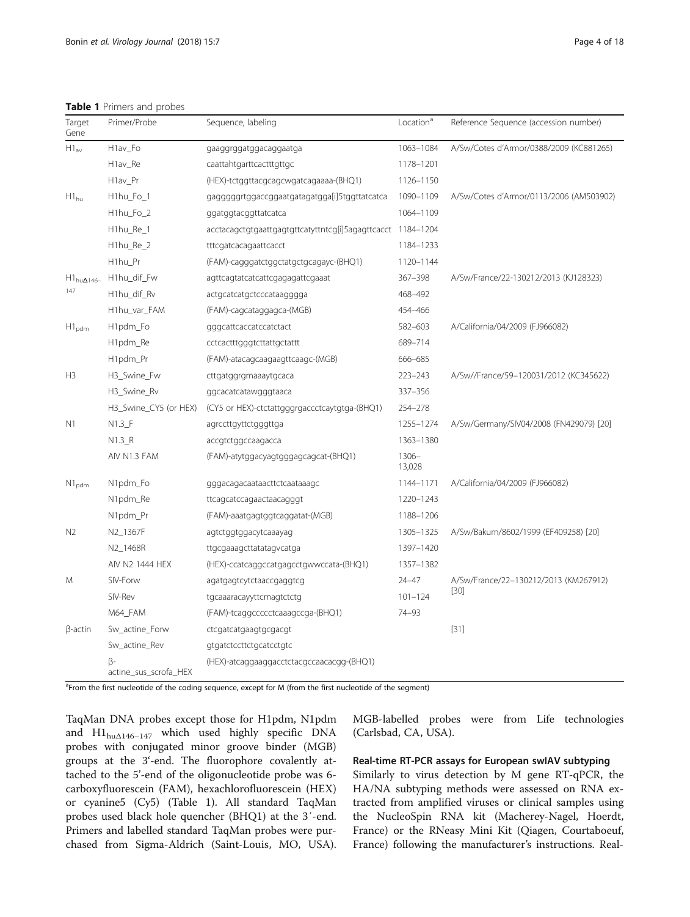# <span id="page-3-0"></span>Table 1 Primers and probes

| Target<br>Gene       | Primer/Probe                | Sequence, labeling                                          | Location <sup>a</sup> | Reference Sequence (accession number)   |
|----------------------|-----------------------------|-------------------------------------------------------------|-----------------------|-----------------------------------------|
| $H1_{av}$            | H1av_Fo                     | gaaggrggatggacaggaatga                                      | 1063-1084             | A/Sw/Cotes d'Armor/0388/2009 (KC881265) |
|                      | H1av_Re                     | caattahtgarttcactttgttgc                                    | 1178-1201             |                                         |
|                      | H <sub>1</sub> av_Pr        | (HEX)-tctggttacgcagcwgatcagaaaa-(BHQ1)                      | 1126-1150             |                                         |
| $H1_{hu}$            | H1hu_Fo_1                   | gagggggrtggaccggaatgatagatgga[i]5tggttatcatca               | 1090-1109             | A/Sw/Cotes d'Armor/0113/2006 (AM503902) |
|                      | H1hu_Fo_2                   | ggatggtacggttatcatca                                        | 1064-1109             |                                         |
|                      | H1hu_Re_1                   | acctacagctgtgaattgagtgttcatyttntcg[i]5agagttcacct 1184-1204 |                       |                                         |
|                      | H1hu_Re_2                   | tttcgatcacagaattcacct                                       | 1184-1233             |                                         |
|                      | H <sub>1</sub> hu_Pr        | (FAM)-cagggatctggctatgctgcagayc-(BHQ1)                      | 1120-1144             |                                         |
| $H1_{hu\Delta 146-}$ | H1hu_dif_Fw                 | agttcagtatcatcattcgagagattcgaaat                            | 367-398               | A/Sw/France/22-130212/2013 (KJ128323)   |
| 147                  | H1hu_dif_Rv                 | actgcatcatgctcccataagggga                                   | 468-492               |                                         |
|                      | H1hu_var_FAM                | (FAM)-cagcataggagca-(MGB)                                   | 454-466               |                                         |
| $H1_{\text{pdm}}$    | H <sub>1</sub> pdm_Fo       | gggcattcaccatccatctact                                      | 582-603               | A/California/04/2009 (FJ966082)         |
|                      | H1pdm_Re                    | cctcactttgggtcttattgctattt                                  | 689-714               |                                         |
|                      | H1pdm_Pr                    | (FAM)-atacagcaagaagttcaagc-(MGB)                            | 666-685               |                                         |
| H <sub>3</sub>       | H3_Swine_Fw                 | cttgatggrgmaaaytgcaca                                       | $223 - 243$           | A/Sw//France/59-120031/2012 (KC345622)  |
|                      | H3_Swine_Rv                 | ggcacatcatawgggtaaca                                        | 337-356               |                                         |
|                      | H3_Swine_CY5 (or HEX)       | (CY5 or HEX)-ctctattgggrgaccctcaytgtga-(BHQ1)               | 254-278               |                                         |
| N1                   | $N1.3$ <sup>F</sup>         | agrccttgyttctgggttga                                        | 1255-1274             | A/Sw/Germany/SIV04/2008 (FN429079) [20] |
|                      | $N1.3_R$                    | accgtctggccaagacca                                          | 1363-1380             |                                         |
|                      | AIV N1.3 FAM                | (FAM)-atytggacyagtgggagcagcat-(BHQ1)                        | $1306 -$<br>13,028    |                                         |
| $N1_{\text{pdm}}$    | N1pdm_Fo                    | gggacagacaataacttctcaataaagc                                | 1144-1171             | A/California/04/2009 (FJ966082)         |
|                      | N1pdm_Re                    | ttcagcatccagaactaacagggt                                    | 1220-1243             |                                         |
|                      | N1pdm_Pr                    | (FAM)-aaatgagtggtcaggatat-(MGB)                             | 1188-1206             |                                         |
| N <sub>2</sub>       | N2_1367F                    | agtctggtggacytcaaayag                                       | 1305-1325             | A/Sw/Bakum/8602/1999 (EF409258) [20]    |
|                      | N2_1468R                    | ttgcgaaagcttatatagvcatga                                    | 1397-1420             |                                         |
|                      | AIV N2 1444 HEX             | (HEX)-ccatcaggccatgagcctgwwccata-(BHQ1)                     | 1357-1382             |                                         |
| M                    | SIV-Forw                    | agatgagtcytctaaccgaggtcg                                    | 24-47                 | A/Sw/France/22-130212/2013 (KM267912)   |
|                      | SIV-Rev                     | tgcaaaracayyttcmagtctctg                                    | $101 - 124$           | $[30]$                                  |
|                      | M64_FAM                     | (FAM)-tcaggccccctcaaagccga-(BHQ1)                           | 74-93                 |                                         |
| $\beta$ -actin       | Sw_actine_Forw              | ctcgatcatgaagtgcgacgt                                       |                       | $[31]$                                  |
|                      | Sw_actine_Rev               | gtgatctccttctgcatcctgtc                                     |                       |                                         |
|                      | β-<br>actine_sus_scrofa_HEX | (HEX)-atcaggaaggacctctacgccaacacgg-(BHQ1)                   |                       |                                         |

<sup>a</sup>From the first nucleotide of the coding sequence, except for M (from the first nucleotide of the segment)

TaqMan DNA probes except those for H1pdm, N1pdm and  $\text{H1}_{\text{hu} \Delta 146 - 147}$  which used highly specific DNA probes with conjugated minor groove binder (MGB) groups at the 3'-end. The fluorophore covalently attached to the 5'-end of the oligonucleotide probe was 6 carboxyfluorescein (FAM), hexachlorofluorescein (HEX) or cyanine5 (Cy5) (Table 1). All standard TaqMan probes used black hole quencher (BHQ1) at the 3′-end. Primers and labelled standard TaqMan probes were purchased from Sigma-Aldrich (Saint-Louis, MO, USA). MGB-labelled probes were from Life technologies (Carlsbad, CA, USA).

# Real-time RT-PCR assays for European swIAV subtyping

Similarly to virus detection by M gene RT-qPCR, the HA/NA subtyping methods were assessed on RNA extracted from amplified viruses or clinical samples using the NucleoSpin RNA kit (Macherey-Nagel, Hoerdt, France) or the RNeasy Mini Kit (Qiagen, Courtaboeuf, France) following the manufacturer's instructions. Real-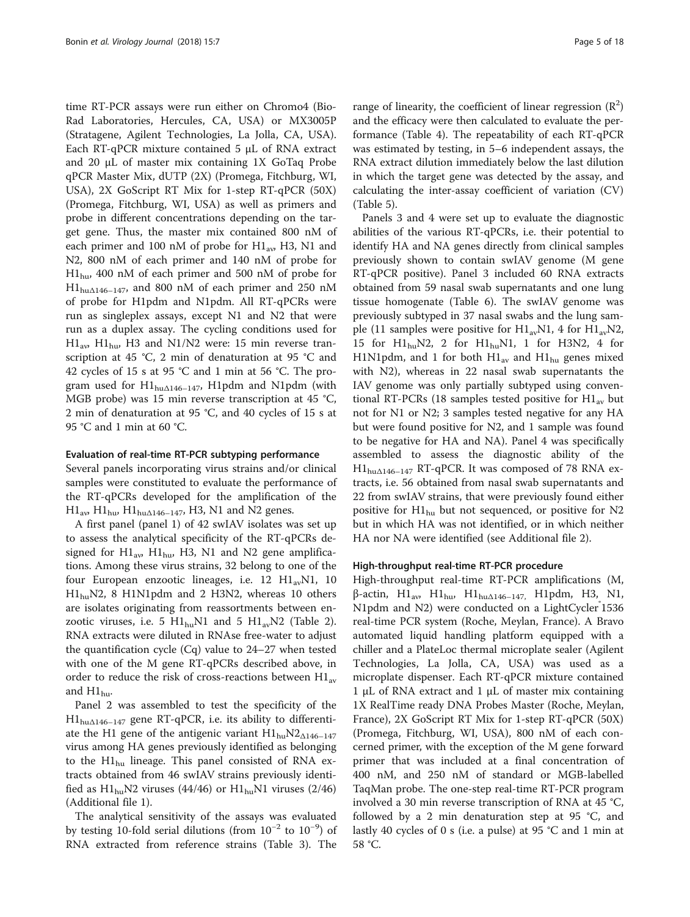time RT-PCR assays were run either on Chromo4 (Bio-Rad Laboratories, Hercules, CA, USA) or MX3005P (Stratagene, Agilent Technologies, La Jolla, CA, USA). Each RT-qPCR mixture contained 5 μL of RNA extract and 20 μL of master mix containing 1X GoTaq Probe qPCR Master Mix, dUTP (2X) (Promega, Fitchburg, WI, USA), 2X GoScript RT Mix for 1-step RT-qPCR (50X) (Promega, Fitchburg, WI, USA) as well as primers and probe in different concentrations depending on the target gene. Thus, the master mix contained 800 nM of each primer and 100 nM of probe for  $H1_{av}$  H3, N1 and N2, 800 nM of each primer and 140 nM of probe for  $H1_{\text{hu}}$ , 400 nM of each primer and 500 nM of probe for  $H1_{hu\Delta 146-147}$ , and 800 nM of each primer and 250 nM of probe for H1pdm and N1pdm. All RT-qPCRs were run as singleplex assays, except N1 and N2 that were run as a duplex assay. The cycling conditions used for  $H1_{av}$ ,  $H1_{huv}$ , H3 and N1/N2 were: 15 min reverse transcription at 45 °C, 2 min of denaturation at 95 °C and 42 cycles of 15 s at 95 °C and 1 min at 56 °C. The program used for  $H1_{hu\Delta 146-147}$ , H1pdm and N1pdm (with MGB probe) was 15 min reverse transcription at 45 °C, 2 min of denaturation at 95 °C, and 40 cycles of 15 s at 95 °C and 1 min at 60 °C.

### Evaluation of real-time RT-PCR subtyping performance

Several panels incorporating virus strains and/or clinical samples were constituted to evaluate the performance of the RT-qPCRs developed for the amplification of the  $H1_{\text{av}}$ ,  $H1_{\text{hu}}$ ,  $H1_{\text{hu}\Delta 146-147}$ , H3, N1 and N2 genes.

A first panel (panel 1) of 42 swIAV isolates was set up to assess the analytical specificity of the RT-qPCRs designed for  $H1_{av}$ ,  $H1_{huv}$ , H3, N1 and N2 gene amplifications. Among these virus strains, 32 belong to one of the four European enzootic lineages, i.e. 12  $H1_{av}N1$ , 10 H1<sub>hu</sub>N2, 8 H1N1pdm and 2 H3N2, whereas 10 others are isolates originating from reassortments between enzootic viruses, i.e. 5  $H1_{\text{hu}}N1$  and 5  $H1_{\text{av}}N2$  (Table [2](#page-5-0)). RNA extracts were diluted in RNAse free-water to adjust the quantification cycle (Cq) value to 24–27 when tested with one of the M gene RT-qPCRs described above, in order to reduce the risk of cross-reactions between  $\rm{H1_{av}}$ and  $H1_{hu}$ .

Panel 2 was assembled to test the specificity of the H1hu<sup>Δ</sup>146–<sup>147</sup> gene RT-qPCR, i.e. its ability to differentiate the H1 gene of the antigenic variant  $\text{H1}_{\text{hu}}\text{N2}_{\Delta 146-147}$ virus among HA genes previously identified as belonging to the  $H1_{hu}$  lineage. This panel consisted of RNA extracts obtained from 46 swIAV strains previously identified as  $H1_{hu}N2$  viruses (44/46) or  $H1_{hu}N1$  viruses (2/46) (Additional file [1](#page-16-0)).

The analytical sensitivity of the assays was evaluated by testing 10-fold serial dilutions (from 10−<sup>2</sup> to 10−<sup>9</sup> ) of RNA extracted from reference strains (Table [3](#page-7-0)). The

range of linearity, the coefficient of linear regression  $(R^2)$ and the efficacy were then calculated to evaluate the performance (Table [4](#page-8-0)). The repeatability of each RT-qPCR was estimated by testing, in 5–6 independent assays, the RNA extract dilution immediately below the last dilution in which the target gene was detected by the assay, and calculating the inter-assay coefficient of variation (CV) (Table [5\)](#page-9-0).

Panels 3 and 4 were set up to evaluate the diagnostic abilities of the various RT-qPCRs, i.e. their potential to identify HA and NA genes directly from clinical samples previously shown to contain swIAV genome (M gene RT-qPCR positive). Panel 3 included 60 RNA extracts obtained from 59 nasal swab supernatants and one lung tissue homogenate (Table [6](#page-10-0)). The swIAV genome was previously subtyped in 37 nasal swabs and the lung sample (11 samples were positive for  $H1_{av}N1$ , 4 for  $H1_{av}N2$ , 15 for  $H1_{hu}N2$ , 2 for  $H1_{hu}N1$ , 1 for H3N2, 4 for H1N1pdm, and 1 for both  $H1_{av}$  and  $H1_{hu}$  genes mixed with N2), whereas in 22 nasal swab supernatants the IAV genome was only partially subtyped using conventional RT-PCRs (18 samples tested positive for  $H1_{av}$  but not for N1 or N2; 3 samples tested negative for any HA but were found positive for N2, and 1 sample was found to be negative for HA and NA). Panel 4 was specifically assembled to assess the diagnostic ability of the  $H1_{hu\Delta 146-147}$  RT-qPCR. It was composed of 78 RNA extracts, i.e. 56 obtained from nasal swab supernatants and 22 from swIAV strains, that were previously found either positive for  $H1_{hu}$  but not sequenced, or positive for N2 but in which HA was not identified, or in which neither HA nor NA were identified (see Additional file [2](#page-16-0)).

### High-throughput real-time RT-PCR procedure

High-throughput real-time RT-PCR amplifications (M, β-actin,  $H1_{av}$ ,  $H1_{hu}$ ,  $H1_{hu\Delta 146-147}$ ,  $H1$ pdm, H3, N1, N1pdm and N2) were conducted on a LightCycler<sup>®</sup>1536 real-time PCR system (Roche, Meylan, France). A Bravo automated liquid handling platform equipped with a chiller and a PlateLoc thermal microplate sealer (Agilent Technologies, La Jolla, CA, USA) was used as a microplate dispenser. Each RT-qPCR mixture contained 1 μL of RNA extract and 1 μL of master mix containing 1X RealTime ready DNA Probes Master (Roche, Meylan, France), 2X GoScript RT Mix for 1-step RT-qPCR (50X) (Promega, Fitchburg, WI, USA), 800 nM of each concerned primer, with the exception of the M gene forward primer that was included at a final concentration of 400 nM, and 250 nM of standard or MGB-labelled TaqMan probe. The one-step real-time RT-PCR program involved a 30 min reverse transcription of RNA at 45 °C, followed by a 2 min denaturation step at 95 °C, and lastly 40 cycles of 0 s (i.e. a pulse) at 95 °C and 1 min at 58 °C.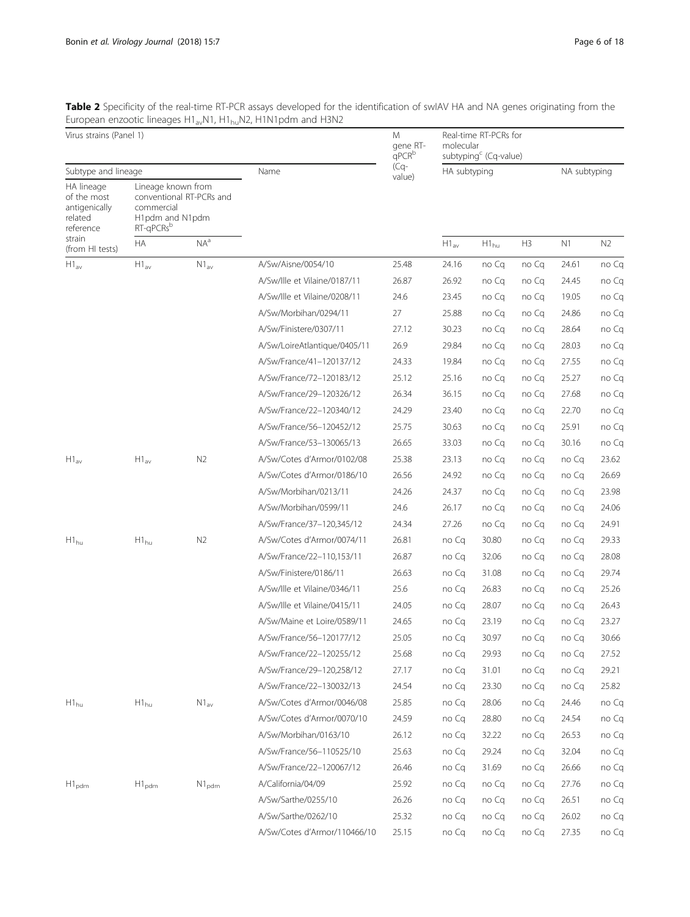<span id="page-5-0"></span>**Table 2** Specificity of the real-time RT-PCR assays developed for the identification of swIAV HA and NA genes originating from the European enzootic lineages H1<sub>av</sub>N1, H1<sub>hu</sub>N2, H1N1pdm and H3N2

| Virus strains (Panel 1)                                            |                                                                  |                          | M<br>gene RT-<br>$q$ PC $R^b$ |                  | Real-time RT-PCRs for<br>molecular<br>subtyping <sup>c</sup> (Cq-value) |           |              |       |                |  |
|--------------------------------------------------------------------|------------------------------------------------------------------|--------------------------|-------------------------------|------------------|-------------------------------------------------------------------------|-----------|--------------|-------|----------------|--|
| Subtype and lineage                                                |                                                                  |                          | Name                          | $(Cq-$<br>value) | HA subtyping                                                            |           | NA subtyping |       |                |  |
| HA lineage<br>of the most<br>antigenically<br>related<br>reference | Lineage known from<br>commercial<br>H1pdm and N1pdm<br>RT-qPCRsb | conventional RT-PCRs and |                               |                  |                                                                         |           |              |       |                |  |
| strain<br>(from HI tests)                                          | НA                                                               | $NA^a$                   |                               |                  | $H1_{av}$                                                               | $H1_{hu}$ | H3           | N1    | N <sub>2</sub> |  |
| $H1_{\rm av}$                                                      | $H1_{av}$                                                        | $N1_{\text{av}}$         | A/Sw/Aisne/0054/10            | 25.48            | 24.16                                                                   | no Cq     | no Cq        | 24.61 | no Cq          |  |
|                                                                    |                                                                  |                          | A/Sw/Ille et Vilaine/0187/11  | 26.87            | 26.92                                                                   | no Cq     | no Cq        | 24.45 | no Cq          |  |
|                                                                    |                                                                  |                          | A/Sw/Ille et Vilaine/0208/11  | 24.6             | 23.45                                                                   | no Cq     | no Cq        | 19.05 | no Cq          |  |
|                                                                    |                                                                  |                          | A/Sw/Morbihan/0294/11         | 27               | 25.88                                                                   | no Cq     | no Cq        | 24.86 | no Cq          |  |
|                                                                    |                                                                  |                          | A/Sw/Finistere/0307/11        | 27.12            | 30.23                                                                   | no Cq     | no Cq        | 28.64 | no Cq          |  |
|                                                                    |                                                                  |                          | A/Sw/LoireAtlantique/0405/11  | 26.9             | 29.84                                                                   | no Cq     | no Cq        | 28.03 | no Cq          |  |
|                                                                    |                                                                  |                          | A/Sw/France/41-120137/12      | 24.33            | 19.84                                                                   | no Cq     | no Cq        | 27.55 | no Cq          |  |
|                                                                    |                                                                  |                          | A/Sw/France/72-120183/12      | 25.12            | 25.16                                                                   | no Ca     | no Cq        | 25.27 | no Cq          |  |
|                                                                    |                                                                  |                          | A/Sw/France/29-120326/12      | 26.34            | 36.15                                                                   | no Cq     | no Cq        | 27.68 | no Cq          |  |
|                                                                    |                                                                  |                          | A/Sw/France/22-120340/12      | 24.29            | 23.40                                                                   | no Cq     | no Cq        | 22.70 | no Cq          |  |
|                                                                    |                                                                  |                          | A/Sw/France/56-120452/12      | 25.75            | 30.63                                                                   | no Cq     | no Cq        | 25.91 | no Cq          |  |
|                                                                    |                                                                  |                          | A/Sw/France/53-130065/13      | 26.65            | 33.03                                                                   | no Cq     | no Cq        | 30.16 | no Cq          |  |
| $H1_{\rm av}$                                                      | $H1_{av}$                                                        | N <sub>2</sub>           | A/Sw/Cotes d'Armor/0102/08    | 25.38            | 23.13                                                                   | no Cq     | no Cq        | no Cq | 23.62          |  |
|                                                                    |                                                                  |                          | A/Sw/Cotes d'Armor/0186/10    | 26.56            | 24.92                                                                   | no Cq     | no Cq        | no Cq | 26.69          |  |
|                                                                    |                                                                  |                          | A/Sw/Morbihan/0213/11         | 24.26            | 24.37                                                                   | no Cq     | no Cq        | no Cq | 23.98          |  |
|                                                                    |                                                                  |                          | A/Sw/Morbihan/0599/11         | 24.6             | 26.17                                                                   | no Cq     | no Cq        | no Cq | 24.06          |  |
|                                                                    |                                                                  |                          | A/Sw/France/37-120,345/12     | 24.34            | 27.26                                                                   | no Cq     | no Cq        | no Cq | 24.91          |  |
| $\mathsf{H1}_{\mathsf{hu}}$                                        | $H1_{hu}$                                                        | N <sub>2</sub>           | A/Sw/Cotes d'Armor/0074/11    | 26.81            | no Cq                                                                   | 30.80     | no Cq        | no Cq | 29.33          |  |
|                                                                    |                                                                  |                          | A/Sw/France/22-110,153/11     | 26.87            | no Cq                                                                   | 32.06     | no Cq        | no Cq | 28.08          |  |
|                                                                    |                                                                  |                          | A/Sw/Finistere/0186/11        | 26.63            | no Cq                                                                   | 31.08     | no Cq        | no Cq | 29.74          |  |
|                                                                    |                                                                  |                          | A/Sw/Ille et Vilaine/0346/11  | 25.6             | no Cq                                                                   | 26.83     | no Cq        | no Cq | 25.26          |  |
|                                                                    |                                                                  |                          | A/Sw/Ille et Vilaine/0415/11  | 24.05            | no Cq                                                                   | 28.07     | no Cq        | no Cq | 26.43          |  |
|                                                                    |                                                                  |                          | A/Sw/Maine et Loire/0589/11   | 24.65            | no Cq                                                                   | 23.19     | no Cq        | no Cq | 23.27          |  |
|                                                                    |                                                                  |                          | A/Sw/France/56-120177/12      | 25.05            | no Cq                                                                   | 30.97     | no Cq        | no Cq | 30.66          |  |
|                                                                    |                                                                  |                          | A/Sw/France/22-120255/12      | 25.68            | no Cq                                                                   | 29.93     | no Cq        | no Cq | 27.52          |  |
|                                                                    |                                                                  |                          | A/Sw/France/29-120,258/12     | 27.17            | no Cq                                                                   | 31.01     | no Cq        | no Cq | 29.21          |  |
|                                                                    |                                                                  |                          | A/Sw/France/22-130032/13      | 24.54            | no Cq                                                                   | 23.30     | no Cq        | no Cg | 25.82          |  |
| $H1_{hu}$                                                          | $H1_{hu}$                                                        | $N1_{av}$                | A/Sw/Cotes d'Armor/0046/08    | 25.85            | no Cq                                                                   | 28.06     | no Cq        | 24.46 | no Cq          |  |
|                                                                    |                                                                  |                          | A/Sw/Cotes d'Armor/0070/10    | 24.59            | no Cq                                                                   | 28.80     | no Cq        | 24.54 | no Cq          |  |
|                                                                    |                                                                  |                          | A/Sw/Morbihan/0163/10         | 26.12            | no Cq                                                                   | 32.22     | no Ca        | 26.53 | no Cq          |  |
|                                                                    |                                                                  |                          | A/Sw/France/56-110525/10      | 25.63            | no Cq                                                                   | 29.24     | no Cq        | 32.04 | no Cq          |  |
|                                                                    |                                                                  |                          | A/Sw/France/22-120067/12      | 26.46            | no Cq                                                                   | 31.69     | no Cq        | 26.66 | no Cq          |  |
| $H1_{\text{pdm}}$                                                  | $H1_{\text{pdm}}$                                                | $N1_{\text{pdm}}$        | A/California/04/09            | 25.92            | no Cq                                                                   | no Cq     | no Cq        | 27.76 | no Cq          |  |
|                                                                    |                                                                  |                          | A/Sw/Sarthe/0255/10           | 26.26            | no Cq                                                                   | no Cq     | no Cq        | 26.51 | no Cq          |  |
|                                                                    |                                                                  |                          | A/Sw/Sarthe/0262/10           | 25.32            | no Cq                                                                   | no Cq     | no Cq        | 26.02 | no Cq          |  |
|                                                                    |                                                                  |                          | A/Sw/Cotes d'Armor/110466/10  | 25.15            | no Cq                                                                   | no Cq     | no Cq        | 27.35 | no Cq          |  |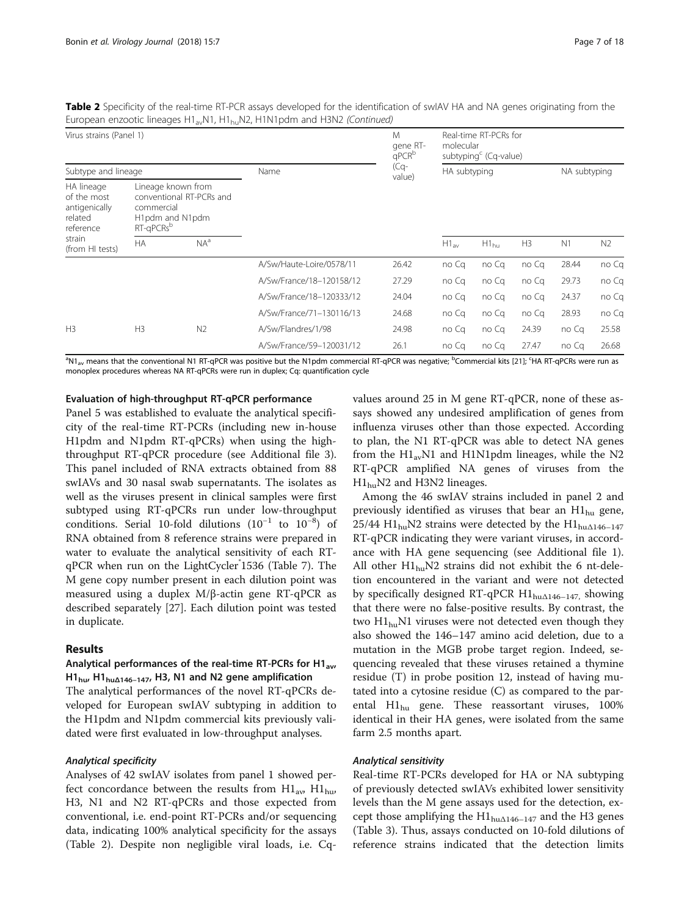Table 2 Specificity of the real-time RT-PCR assays developed for the identification of swIAV HA and NA genes originating from the European enzootic lineages  $H1_{av}N1$ ,  $H1_{bu}N2$ ,  $H1N1$ pdm and  $H3N2$  (Continued)

| Virus strains (Panel 1)                                            |                                                       |                                                                                             |                          | M<br>gene RT-<br>qPCR <sup>b</sup> | molecular     | Real-time RT-PCRs for<br>subtyping <sup>c</sup> (Cq-value) |                |       |                |
|--------------------------------------------------------------------|-------------------------------------------------------|---------------------------------------------------------------------------------------------|--------------------------|------------------------------------|---------------|------------------------------------------------------------|----------------|-------|----------------|
| Subtype and lineage                                                |                                                       |                                                                                             | Name                     | (Cq-<br>value)                     | HA subtyping  |                                                            | NA subtyping   |       |                |
| HA lineage<br>of the most<br>antigenically<br>related<br>reference |                                                       | Lineage known from<br>conventional RT-PCRs and<br>H <sub>1</sub> pdm and N <sub>1</sub> pdm |                          |                                    |               |                                                            |                |       |                |
| strain<br>(from HI tests)                                          | <b>HA</b>                                             | $NA^a$                                                                                      |                          |                                    | $H1_{\rm av}$ | $H1_{hu}$                                                  | H <sub>3</sub> | N1    | N <sub>2</sub> |
|                                                                    | commercial<br>RT-gPCRs <sup>b</sup><br>H <sub>3</sub> |                                                                                             | A/Sw/Haute-Loire/0578/11 | 26.42                              | no Ca         | no Cq                                                      | no Cq          | 28.44 | no Cq          |
|                                                                    |                                                       |                                                                                             | A/Sw/France/18-120158/12 | 27.29                              | no Ca         | no Cq                                                      | no Ca          | 29.73 | no Cq          |
|                                                                    |                                                       |                                                                                             | A/Sw/France/18-120333/12 | 24.04                              | no Cq         | no Cq                                                      | no Ca          | 24.37 | no Cq          |
|                                                                    |                                                       |                                                                                             | A/Sw/France/71-130116/13 | 24.68                              | no Cq         | no Cq                                                      | no Cq          | 28.93 | no Cq          |
| H <sub>3</sub>                                                     |                                                       | N <sub>2</sub>                                                                              | A/Sw/Flandres/1/98       | 24.98                              | no Ca         | no Cq                                                      | 24.39          | no Cq | 25.58          |
|                                                                    |                                                       |                                                                                             | A/Sw/France/59-120031/12 | 26.1                               | no Cq         | no Cq                                                      | 27.47          | no Ca | 26.68          |

<sup>a</sup>N1<sub>av</sub> means that the conventional N1 RT-qPCR was positive but the N1pdm commercial RT-qPCR was negative; <sup>b</sup>Commercial kits [\[21](#page-16-0)]; <sup>c</sup>HA RT-qPCRs were run as monoplex procedures whereas NA RT-qPCRs were run in duplex; Cq: quantification cycle

# Evaluation of high-throughput RT-qPCR performance

Panel 5 was established to evaluate the analytical specificity of the real-time RT-PCRs (including new in-house H1pdm and N1pdm RT-qPCRs) when using the highthroughput RT-qPCR procedure (see Additional file [3](#page-16-0)). This panel included of RNA extracts obtained from 88 swIAVs and 30 nasal swab supernatants. The isolates as well as the viruses present in clinical samples were first subtyped using RT-qPCRs run under low-throughput conditions. Serial 10-fold dilutions  $(10^{-1}$  to  $10^{-8})$  of RNA obtained from 8 reference strains were prepared in water to evaluate the analytical sensitivity of each RT-qPCR when run on the LightCycler<sup>\*</sup>1536 (Table [7](#page-12-0)). The M gene copy number present in each dilution point was measured using a duplex M/β-actin gene RT-qPCR as described separately [[27\]](#page-17-0). Each dilution point was tested in duplicate.

# Results

# Analytical performances of the real-time RT-PCRs for H1<sub>av</sub>, H1hu, H1hu<sup>Δ</sup>146–147, H3, N1 and N2 gene amplification

The analytical performances of the novel RT-qPCRs developed for European swIAV subtyping in addition to the H1pdm and N1pdm commercial kits previously validated were first evaluated in low-throughput analyses.

Analyses of 42 swIAV isolates from panel 1 showed perfect concordance between the results from  $\text{H1}_{\text{av}}$ ,  $\text{H1}_{\text{hu}}$ , H3, N1 and N2 RT-qPCRs and those expected from conventional, i.e. end-point RT-PCRs and/or sequencing data, indicating 100% analytical specificity for the assays (Table [2\)](#page-5-0). Despite non negligible viral loads, i.e. Cqvalues around 25 in M gene RT-qPCR, none of these assays showed any undesired amplification of genes from influenza viruses other than those expected. According to plan, the N1 RT-qPCR was able to detect NA genes from the  $H1_{av}N1$  and H1N1pdm lineages, while the N2 RT-qPCR amplified NA genes of viruses from the  $H1<sub>hu</sub>N2$  and H3N2 lineages.

Among the 46 swIAV strains included in panel 2 and previously identified as viruses that bear an  $H1_{hu}$  gene, 25/44  $\text{H1}_{\text{hu}}$ N2 strains were detected by the  $\text{H1}_{\text{hu} \triangle 146-147}$ RT-qPCR indicating they were variant viruses, in accordance with HA gene sequencing (see Additional file [1](#page-16-0)). All other  $H1_{hu}N2$  strains did not exhibit the 6 nt-deletion encountered in the variant and were not detected by specifically designed RT-qPCR  $H1_{hu\Delta 146-147}$ , showing that there were no false-positive results. By contrast, the two  $H1_{\text{hu}}$ N1 viruses were not detected even though they also showed the 146–147 amino acid deletion, due to a mutation in the MGB probe target region. Indeed, sequencing revealed that these viruses retained a thymine residue (T) in probe position 12, instead of having mutated into a cytosine residue (C) as compared to the parental  $H1_{hu}$  gene. These reassortant viruses, 100% identical in their HA genes, were isolated from the same farm 2.5 months apart.

Real-time RT-PCRs developed for HA or NA subtyping of previously detected swIAVs exhibited lower sensitivity levels than the M gene assays used for the detection, except those amplifying the  $H1_{hu\Delta 146-147}$  and the H3 genes (Table [3](#page-7-0)). Thus, assays conducted on 10-fold dilutions of reference strains indicated that the detection limits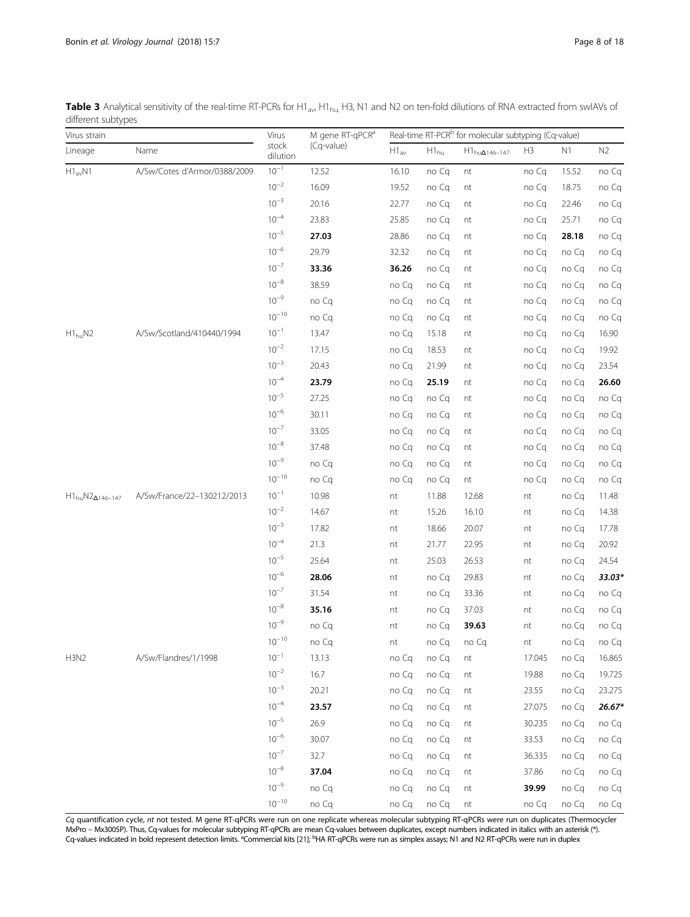<span id="page-7-0"></span>

|                    | Table 3 Analytical sensitivity of the real-time RT-PCRs for H1 <sub>av</sub> , H1 <sub>hu</sub> , H3, N1 and N2 on ten-fold dilutions of RNA extracted from swIAVs of |
|--------------------|-----------------------------------------------------------------------------------------------------------------------------------------------------------------------|
| different subtypes |                                                                                                                                                                       |

| Virus strain                                                                            |                              |                   | M gene RT-qPCR <sup>a</sup> | Real-time RT-PCR <sup>b</sup> for molecular subtyping (Cq-value) |           |                         |                |       |                |  |
|-----------------------------------------------------------------------------------------|------------------------------|-------------------|-----------------------------|------------------------------------------------------------------|-----------|-------------------------|----------------|-------|----------------|--|
| Lineage                                                                                 | Name                         | stock<br>dilution | (Cq-value)                  | $H1_{av}$                                                        | $H1_{hu}$ | $H1_{hu\Delta 146-147}$ | H <sub>3</sub> | N1    | N <sub>2</sub> |  |
| $H1_{av}N1$<br>$H1_{hu}N2$<br>$\text{H1}_{hu}\text{N2}_{\Delta 146-147}$<br><b>H3N2</b> | A/Sw/Cotes d'Armor/0388/2009 | $10^{-1}$         | 12.52                       | 16.10                                                            | no Cq     | nt                      | no Cq          | 15.52 | no Cq          |  |
|                                                                                         |                              | $10^{-2}$         | 16.09                       | 19.52                                                            | no Cq     | nt                      | no Cq          | 18.75 | no Cq          |  |
|                                                                                         |                              | $10^{-3}$         | 20.16                       | 22.77                                                            | no Cq     | nt                      | no Cq          | 22.46 | no Cq          |  |
|                                                                                         |                              | $10^{-4}$         | 23.83                       | 25.85                                                            | no Cq     | nt                      | no Cq          | 25.71 | no Cq          |  |
|                                                                                         |                              | $10^{-5}$         | 27.03                       | 28.86                                                            | no Cq     | nt                      | no Cq          | 28.18 | no Cq          |  |
|                                                                                         |                              | $10^{-6}$         | 29.79                       | 32.32                                                            | no Cq     | nt                      | no Cq          | no Cq | no Cq          |  |
|                                                                                         |                              | $10^{-7}$         | 33.36                       | 36.26                                                            | no Cq     | nt                      | no Cq          | no Cq | no Cq          |  |
|                                                                                         |                              | $10^{-8}$         | 38.59                       | no Cq                                                            | no Cq     | nt                      | no Cq          | no Cq | no Cq          |  |
|                                                                                         |                              | $10^{-9}$         | no Cq                       | no Cq                                                            | no Cq     | nt                      | no Cq          | no Cq | no Cq          |  |
|                                                                                         |                              | $10^{-10}$        | no Cq                       | no Cq                                                            | no Cq     | nt                      | no Cq          | no Cq | no Cq          |  |
|                                                                                         | A/Sw/Scotland/410440/1994    | $10^{-1}$         | 13.47                       | no Cq                                                            | 15.18     | nt                      | no Cq          | no Cq | 16.90          |  |
|                                                                                         |                              | $10^{-2}$         | 17.15                       | no Cq                                                            | 18.53     | nt                      | no Cq          | no Cq | 19.92          |  |
|                                                                                         |                              | $10^{-3}$         | 20.43                       | no Cq                                                            | 21.99     | nt                      | no Cq          | no Cq | 23.54          |  |
|                                                                                         |                              | $10^{-4}$         | 23.79                       | no Cq                                                            | 25.19     | nt                      | no Cq          | no Cq | 26.60          |  |
|                                                                                         |                              | $10^{-5}$         | 27.25                       | no Cq                                                            | no Cq     | nt                      | no Cq          | no Cq | no Cq          |  |
|                                                                                         |                              | $10^{-6}$         | 30.11                       | no Cq                                                            | no Cq     | nt                      | no Cq          | no Cq | no Cq          |  |
|                                                                                         |                              | $10^{-7}$         | 33.05                       | no Cq                                                            | no Cq     | nt                      | no Cq          | no Cq | no Cq          |  |
|                                                                                         |                              | $10^{-8}$         | 37.48                       | no Cq                                                            | no Cq     | nt                      | no Cq          | no Cq | no Cq          |  |
|                                                                                         |                              | $10^{-9}$         | no Cq                       | no Cq                                                            | no Cq     | nt                      | no Cq          | no Cq | no Cq          |  |
|                                                                                         |                              | $10^{-10}$        | no Cq                       | no Cq                                                            | no Cq     | nt                      | no Cq          | no Cq | no Cq          |  |
|                                                                                         | A/Sw/France/22-130212/2013   | $10^{-1}$         | 10.98                       | nt                                                               | 11.88     | 12.68                   | nt             | no Cq | 11.48          |  |
|                                                                                         |                              | $10^{-2}$         | 14.67                       | nt                                                               | 15.26     | 16.10                   | nt             | no Cq | 14.38          |  |
|                                                                                         |                              | $10^{-3}$         | 17.82                       | nt                                                               | 18.66     | 20.07                   | nt             | no Cq | 17.78          |  |
|                                                                                         |                              | $10^{-4}$         | 21.3                        | nt                                                               | 21.77     | 22.95                   | nt             | no Cq | 20.92          |  |
|                                                                                         |                              | $10^{-5}$         | 25.64                       | nt                                                               | 25.03     | 26.53                   | nt             | no Cq | 24.54          |  |
|                                                                                         |                              | $10^{-6}$         | 28.06                       | nt                                                               | no Cq     | 29.83                   | nt             | no Cq | 33.03*         |  |
|                                                                                         |                              | $10^{-7}$         | 31.54                       | nt                                                               | no Cq     | 33.36                   | nt             | no Cq | no Cq          |  |
|                                                                                         |                              | $10^{-8}$         | 35.16                       | nt                                                               | no Cq     | 37.03                   | nt             | no Cq | no Cq          |  |
|                                                                                         |                              | $10^{-9}$         | no Cq                       | nt                                                               | no Cq     | 39.63                   | nt             | no Cq | no Cq          |  |
|                                                                                         |                              | $10^{-10}$        | no Cq                       | nt                                                               | no Cq     | no Cq                   | nt             | no Cq | no Cq          |  |
|                                                                                         | A/Sw/Flandres/1/1998         | $10^{-1}$         | 13.13                       | no Cq                                                            | no Cq     | nt                      | 17.045         | no Cq | 16.865         |  |
|                                                                                         |                              | $10^{-2}$         | 16.7                        | no Cq                                                            | no Cq     | nt                      | 19.88          | no Cq | 19.725         |  |
|                                                                                         |                              | $10^{-3}$         | 20.21                       | no Cq                                                            | no Cq     | nt                      | 23.55          | no Cq | 23.275         |  |
|                                                                                         |                              | $10^{-4}$         | 23.57                       | no Cq                                                            | no Cq     | nt                      | 27.075         | no Cq | $26.67*$       |  |
|                                                                                         |                              | $10^{-5}$         | 26.9                        | no Cq                                                            | no Cq     | nt                      | 30.235         | no Cq | no Cq          |  |
|                                                                                         |                              | $10^{-6}$         | 30.07                       | no Cq                                                            | no Cq     | nt                      | 33.53          | no Cq | no Cq          |  |
|                                                                                         |                              | $10^{-7}$         | 32.7                        | no Cq                                                            | no Cq     | nt                      | 36.335         | no Cq | no Cq          |  |
|                                                                                         |                              | $10^{-8}$         | 37.04                       | no Cq                                                            | no Cq     | nt                      | 37.86          | no Cq | no Cq          |  |
|                                                                                         |                              | $10^{-9}$         | no Cq                       | no Cq                                                            | no Cq     | nt                      | 39.99          | no Cq | no Cq          |  |
|                                                                                         |                              | $10^{-10}$        | no Cq                       | no Cq                                                            | no Cq     | nt                      | no Cq          | no Cq | no Cq          |  |

Cq quantification cycle, *nt* not tested. M gene RT-qPCRs were run on one replicate whereas molecular subtyping RT-qPCRs were run on duplicates (Thermocycler<br>MxPro – Mx3005P). Thus, Cq-values for molecular subtyping RT-qPC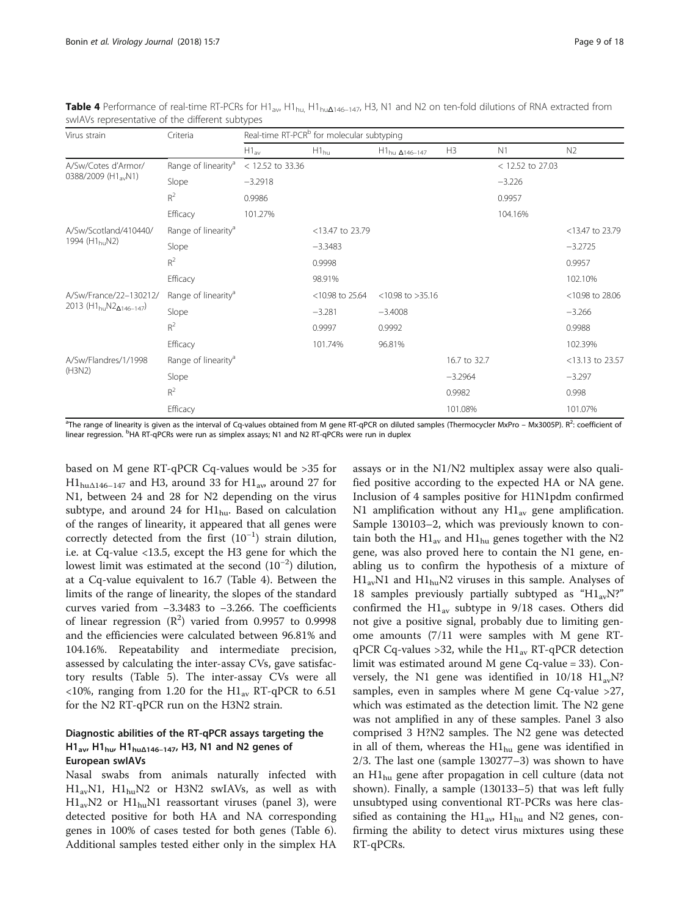| Virus strain<br>0388/2009 (H1 <sub>av</sub> N1)<br>A/Sw/Scotland/410440/<br>1994 (H <sub>1bu</sub> N2)<br>2013 ( $H1_{\text{hu}}N2_{\text{A}146-147}$ ) | Criteria                        | Real-time RT-PCR <sup>b</sup> for molecular subtyping |                    |                           |              |                  |                    |  |  |  |
|---------------------------------------------------------------------------------------------------------------------------------------------------------|---------------------------------|-------------------------------------------------------|--------------------|---------------------------|--------------|------------------|--------------------|--|--|--|
|                                                                                                                                                         |                                 | $H1_{\text{av}}$                                      | $H1_{\text{hu}}$   | $H1_{hu\ \Delta 146-147}$ | H3           | N1               | N <sub>2</sub>     |  |  |  |
| A/Sw/Cotes d'Armor/                                                                                                                                     | Range of linearity <sup>a</sup> | $<$ 12.52 to 33.36                                    |                    |                           |              | < 12.52 to 27.03 |                    |  |  |  |
|                                                                                                                                                         | Slope                           | $-3.2918$                                             |                    |                           |              | $-3.226$         |                    |  |  |  |
|                                                                                                                                                         | $R^2$                           | 0.9986                                                |                    |                           |              | 0.9957           |                    |  |  |  |
|                                                                                                                                                         | Efficacy                        | 101.27%                                               |                    |                           |              | 104.16%          |                    |  |  |  |
|                                                                                                                                                         | Range of linearity <sup>a</sup> |                                                       | <13.47 to 23.79    |                           |              |                  | <13.47 to 23.79    |  |  |  |
| (H3N2)                                                                                                                                                  | Slope                           |                                                       | $-3.3483$          |                           |              |                  | $-3.2725$          |  |  |  |
|                                                                                                                                                         | $R^2$                           |                                                       | 0.9998             |                           |              |                  | 0.9957             |  |  |  |
|                                                                                                                                                         | Efficacy                        |                                                       | 98.91%             |                           |              |                  | 102.10%            |  |  |  |
| A/Sw/France/22-130212/                                                                                                                                  | Range of linearity <sup>a</sup> |                                                       | $<$ 10.98 to 25.64 | $<$ 10.98 to >35.16       |              |                  | $<$ 10.98 to 28.06 |  |  |  |
|                                                                                                                                                         | Slope                           |                                                       | $-3.281$           | $-3.4008$                 |              |                  | $-3.266$           |  |  |  |
|                                                                                                                                                         | $R^2$                           |                                                       | 0.9997             | 0.9992                    |              |                  | 0.9988             |  |  |  |
|                                                                                                                                                         | Efficacy                        |                                                       | 101.74%            | 96.81%                    |              |                  | 102.39%            |  |  |  |
| A/Sw/Flandres/1/1998                                                                                                                                    | Range of linearity <sup>a</sup> |                                                       |                    |                           | 16.7 to 32.7 |                  | <13.13 to 23.57    |  |  |  |
|                                                                                                                                                         | Slope                           |                                                       |                    |                           | $-3.2964$    |                  | $-3.297$           |  |  |  |
|                                                                                                                                                         | $R^2$                           |                                                       |                    |                           | 0.9982       |                  | 0.998              |  |  |  |
|                                                                                                                                                         | Efficacy                        |                                                       |                    |                           | 101.08%      |                  | 101.07%            |  |  |  |

<span id="page-8-0"></span>**Table 4** Performance of real-time RT-PCRs for H1<sub>av</sub>, H1<sub>hu</sub>, H1<sub>hu</sub> $\Delta$ <sub>146–147</sub>, H3, N1 and N2 on ten-fold dilutions of RNA extracted from swIAVs representative of the different subtypes

<sup>a</sup>The range of linearity is given as the interval of Cq-values obtained from M gene RT-qPCR on diluted samples (Thermocycler MxPro – Mx3005P). R<sup>2</sup>: coefficient of linear regression. <sup>b</sup>HA RT-qPCRs were run as simplex assays; N1 and N2 RT-qPCRs were run in duplex

based on M gene RT-qPCR Cq-values would be >35 for  $\text{H1}_{\text{hu} \Delta 146 - 147}$  and H3, around 33 for  $\text{H1}_{\text{av}}$  around 27 for N1, between 24 and 28 for N2 depending on the virus subtype, and around 24 for  $H1_{hu}$ . Based on calculation of the ranges of linearity, it appeared that all genes were correctly detected from the first (10−<sup>1</sup> ) strain dilution, i.e. at Cq-value <13.5, except the H3 gene for which the lowest limit was estimated at the second (10−<sup>2</sup> ) dilution, at a Cq-value equivalent to 16.7 (Table 4). Between the limits of the range of linearity, the slopes of the standard curves varied from −3.3483 to −3.266. The coefficients of linear regression  $(R^2)$  varied from 0.9957 to 0.9998 and the efficiencies were calculated between 96.81% and 104.16%. Repeatability and intermediate precision, assessed by calculating the inter-assay CVs, gave satisfactory results (Table [5\)](#page-9-0). The inter-assay CVs were all <10%, ranging from 1.20 for the  $H1_{av}$  RT-qPCR to 6.51 for the N2 RT-qPCR run on the H3N2 strain.

# Diagnostic abilities of the RT-qPCR assays targeting the H1<sub>av</sub>, H1<sub>hu</sub>, H1<sub>hu $\Delta$ 146–147, H3, N1 and N2 genes of</sub> European swIAVs

Nasal swabs from animals naturally infected with  $H1_{av}N1$ ,  $H1_{hu}N2$  or  $H3N2$  swIAVs, as well as with  $H1_{av}N2$  or  $H1_{hu}N1$  reassortant viruses (panel 3), were detected positive for both HA and NA corresponding genes in 100% of cases tested for both genes (Table [6](#page-10-0)). Additional samples tested either only in the simplex HA assays or in the N1/N2 multiplex assay were also qualified positive according to the expected HA or NA gene. Inclusion of 4 samples positive for H1N1pdm confirmed N1 amplification without any  $H1_{av}$  gene amplification. Sample 130103–2, which was previously known to contain both the  $H1_{av}$  and  $H1_{hu}$  genes together with the N2 gene, was also proved here to contain the N1 gene, enabling us to confirm the hypothesis of a mixture of  $H1_{av}N1$  and  $H1_{bu}N2$  viruses in this sample. Analyses of 18 samples previously partially subtyped as " $H1_{av}N$ ?" confirmed the  $H1_{av}$  subtype in 9/18 cases. Others did not give a positive signal, probably due to limiting genome amounts (7/11 were samples with M gene RTqPCR Cq-values >32, while the  $H1_{av}$  RT-qPCR detection limit was estimated around M gene Cq-value = 33). Conversely, the N1 gene was identified in  $10/18$   $\text{H1}_{av}N$ ? samples, even in samples where M gene Cq-value >27, which was estimated as the detection limit. The N2 gene was not amplified in any of these samples. Panel 3 also comprised 3 H?N2 samples. The N2 gene was detected in all of them, whereas the  $H1_{hu}$  gene was identified in 2/3. The last one (sample 130277–3) was shown to have an  $H1_{hu}$  gene after propagation in cell culture (data not shown). Finally, a sample (130133–5) that was left fully unsubtyped using conventional RT-PCRs was here classified as containing the  $H1_{av}$ ,  $H1_{hu}$  and N2 genes, confirming the ability to detect virus mixtures using these RT-qPCRs.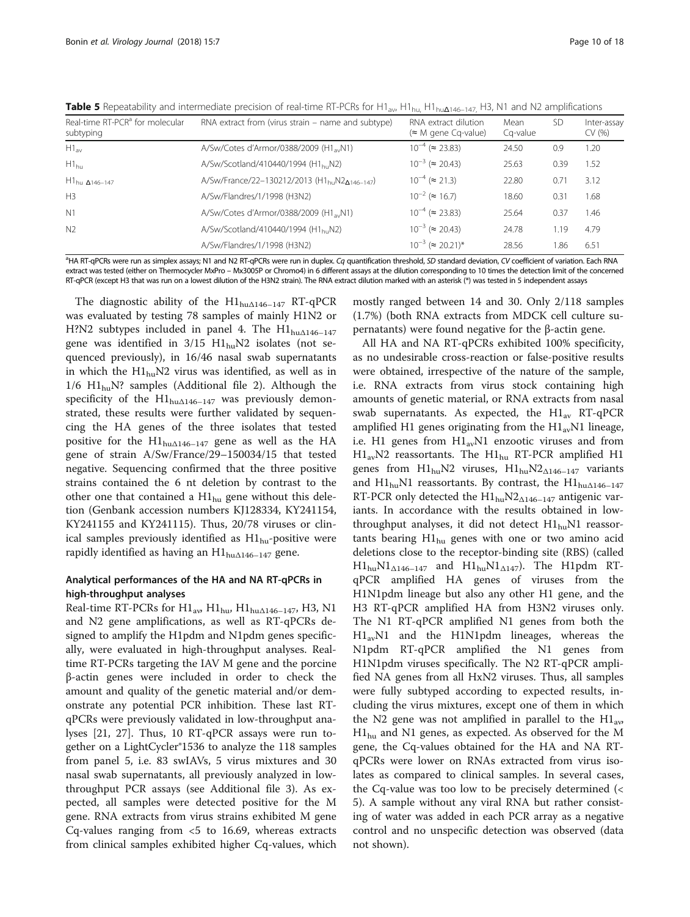<span id="page-9-0"></span>Table 5 Repeatability and intermediate precision of real-time RT-PCRs for H1<sub>av</sub>, H1<sub>hu</sub>, H1<sub>hu</sub><sub>Δ146–147,</sub> H3, N1 and N2 amplifications

| Real-time RT-PCR <sup>a</sup> for molecular<br>subtyping | RNA extract from (virus strain – name and subtype)                    | RNA extract dilution<br>$(\approx M)$ gene Cg-value) | Mean<br>Ca-value | <b>SD</b> | Inter-assay<br>CV (%) |
|----------------------------------------------------------|-----------------------------------------------------------------------|------------------------------------------------------|------------------|-----------|-----------------------|
| $H1_{\rm av}$                                            | A/Sw/Cotes d'Armor/0388/2009 (H1 <sub>av</sub> N1)                    | $10^{-4}$ ( $\approx$ 23.83)                         | 24.50            | 0.9       | 1.20                  |
| $H1_{hu}$                                                | A/Sw/Scotland/410440/1994 (H1 <sub>bu</sub> N2)                       | $10^{-3}$ ( $\approx$ 20.43)                         | 25.63            | 0.39      | 1.52                  |
| $H1_{hu\ \Delta 146-147}$                                | A/Sw/France/22-130212/2013 (H1 <sub>hu</sub> N2 <sub>Δ146-147</sub> ) | $10^{-4}$ ( $\approx$ 21.3)                          | 22.80            | 0.71      | 3.12                  |
| H <sub>3</sub>                                           | A/Sw/Flandres/1/1998 (H3N2)                                           | $10^{-2}$ ( $\approx 16.7$ )                         | 18.60            | 0.31      | 1.68                  |
| N1                                                       | A/Sw/Cotes d'Armor/0388/2009 (H1, N1)                                 | $10^{-4}$ ( $\approx$ 23.83)                         | 25.64            | 0.37      | 1.46                  |
| N <sup>2</sup>                                           | A/Sw/Scotland/410440/1994 (H1 <sub>bu</sub> N2)                       | $10^{-3}$ ( $\approx$ 20.43)                         | 24.78            | 1.19      | 4.79                  |
|                                                          | A/Sw/Flandres/1/1998 (H3N2)                                           | $10^{-3}$ ( $\approx$ 20.21)*                        | 28.56            | 1.86      | 6.51                  |

<sup>a</sup>HA RT-qPCRs were run as simplex assays; N1 and N2 RT-qPCRs were run in duplex. Cq quantification threshold, SD standard deviation, CV coefficient of variation. Each RNA<br>extract was tested (either on Thermocycler MyPro – extract was tested (either on Thermocycler MxPro – Mx3005P or Chromo4) in 6 different assays at the dilution corresponding to 10 times the detection limit of the concerned RT-qPCR (except H3 that was run on a lowest dilution of the H3N2 strain). The RNA extract dilution marked with an asterisk (\*) was tested in 5 independent assays

The diagnostic ability of the  $H1_{hu\Delta 146-147}$  RT-qPCR was evaluated by testing 78 samples of mainly H1N2 or H?N2 subtypes included in panel 4. The  $H1_{hu\Delta 146-147}$ gene was identified in  $3/15$  H1<sub>hu</sub>N2 isolates (not sequenced previously), in 16/46 nasal swab supernatants in which the  $H1_{hu}N2$  virus was identified, as well as in  $1/6$  H1<sub>hu</sub>N? samples (Additional file [2\)](#page-16-0). Although the specificity of the  $H1_{hu\Delta 146-147}$  was previously demonstrated, these results were further validated by sequencing the HA genes of the three isolates that tested positive for the  $H1_{hu\Delta 146-147}$  gene as well as the HA gene of strain A/Sw/France/29–150034/15 that tested negative. Sequencing confirmed that the three positive strains contained the 6 nt deletion by contrast to the other one that contained a  $HI_{hu}$  gene without this deletion (Genbank accession numbers KJ128334, KY241154, KY241155 and KY241115). Thus, 20/78 viruses or clinical samples previously identified as  $H1_{\text{hu}}$ -positive were rapidly identified as having an  $H1_{hu\Lambda146-147}$  gene.

# Analytical performances of the HA and NA RT-qPCRs in high-throughput analyses

Real-time RT-PCRs for  $\mathrm{H1}_{\mathrm{av}}$ ,  $\mathrm{H1}_{\mathrm{hu}}$ ,  $\mathrm{H1}_{\mathrm{hu}\Delta 146-147}$ , H3, N1 and N2 gene amplifications, as well as RT-qPCRs designed to amplify the H1pdm and N1pdm genes specifically, were evaluated in high-throughput analyses. Realtime RT-PCRs targeting the IAV M gene and the porcine β-actin genes were included in order to check the amount and quality of the genetic material and/or demonstrate any potential PCR inhibition. These last RTqPCRs were previously validated in low-throughput analyses [[21](#page-16-0), [27\]](#page-17-0). Thus, 10 RT-qPCR assays were run together on a LightCycler®1536 to analyze the 118 samples from panel 5, i.e. 83 swIAVs, 5 virus mixtures and 30 nasal swab supernatants, all previously analyzed in lowthroughput PCR assays (see Additional file [3\)](#page-16-0). As expected, all samples were detected positive for the M gene. RNA extracts from virus strains exhibited M gene Cq-values ranging from  $\lt 5$  to 16.69, whereas extracts from clinical samples exhibited higher Cq-values, which mostly ranged between 14 and 30. Only 2/118 samples (1.7%) (both RNA extracts from MDCK cell culture supernatants) were found negative for the β-actin gene.

All HA and NA RT-qPCRs exhibited 100% specificity, as no undesirable cross-reaction or false-positive results were obtained, irrespective of the nature of the sample, i.e. RNA extracts from virus stock containing high amounts of genetic material, or RNA extracts from nasal swab supernatants. As expected, the  $H1_{av}$  RT-qPCR amplified H1 genes originating from the  $H1_{av}N1$  lineage, i.e. H1 genes from  $H1_{av}N1$  enzootic viruses and from  $H1_{av}N2$  reassortants. The  $H1_{hu}$  RT-PCR amplified H1 genes from  $H1_{hu}N2$  viruses,  $H1_{hu}N2_{\Delta 146-147}$  variants and  $\text{H1}_{hu}$ N1 reassortants. By contrast, the  $\text{H1}_{hu\Delta 146-147}$ RT-PCR only detected the  $H1_{hu}N2_{\Delta 146-147}$  antigenic variants. In accordance with the results obtained in lowthroughput analyses, it did not detect  $H1_{hu}N1$  reassortants bearing  $H1_{hu}$  genes with one or two amino acid deletions close to the receptor-binding site (RBS) (called  $H1_{hu}N1_{\Delta 146-147}$  and  $H1_{hu}N1_{\Delta 147}$ ). The H1pdm RTqPCR amplified HA genes of viruses from the H1N1pdm lineage but also any other H1 gene, and the H3 RT-qPCR amplified HA from H3N2 viruses only. The N1 RT-qPCR amplified N1 genes from both the H1avN1 and the H1N1pdm lineages, whereas the N1pdm RT-qPCR amplified the N1 genes from H1N1pdm viruses specifically. The N2 RT-qPCR amplified NA genes from all HxN2 viruses. Thus, all samples were fully subtyped according to expected results, including the virus mixtures, except one of them in which the N2 gene was not amplified in parallel to the  $H1_{av}$ ,  $H1_{hu}$  and N1 genes, as expected. As observed for the M gene, the Cq-values obtained for the HA and NA RTqPCRs were lower on RNAs extracted from virus isolates as compared to clinical samples. In several cases, the Cq-value was too low to be precisely determined (< 5). A sample without any viral RNA but rather consisting of water was added in each PCR array as a negative control and no unspecific detection was observed (data not shown).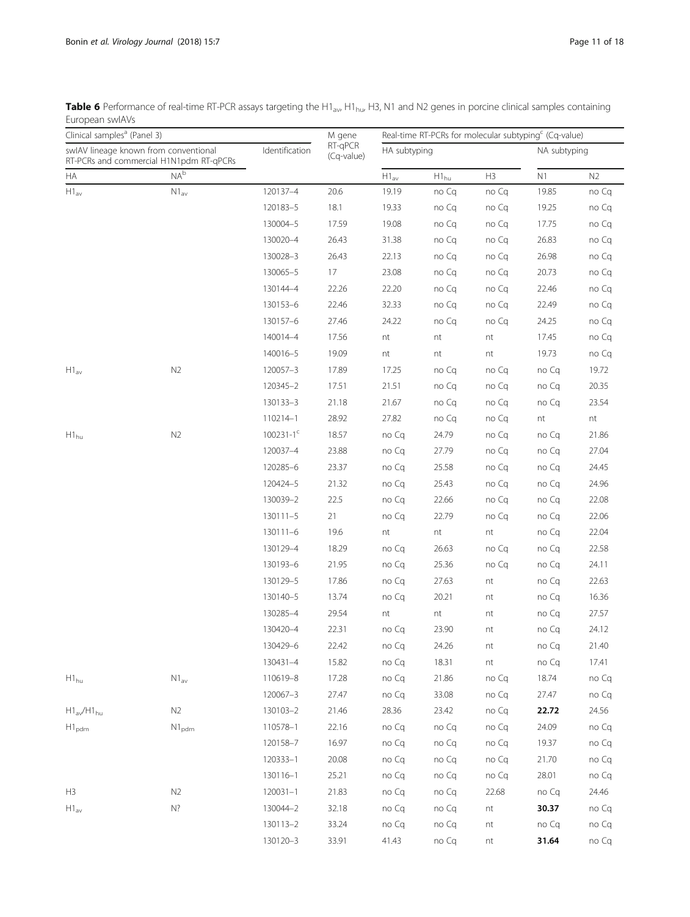<span id="page-10-0"></span>

| Table 6 Performance of real-time RT-PCR assays targeting the H1 <sub>av</sub> , H1 <sub>hu</sub> , H3, N1 and N2 genes in porcine clinical samples containing |
|---------------------------------------------------------------------------------------------------------------------------------------------------------------|
| European swlAVs                                                                                                                                               |

|                                       | Clinical samples <sup>a</sup> (Panel 3) |                | M gene                | Real-time RT-PCRs for molecular subtyping <sup>c</sup> (Cq-value) |           |       |              |                |  |
|---------------------------------------|-----------------------------------------|----------------|-----------------------|-------------------------------------------------------------------|-----------|-------|--------------|----------------|--|
| swlAV lineage known from conventional | RT-PCRs and commercial H1N1pdm RT-qPCRs | Identification | RT-qPCR<br>(Cq-value) | HA subtyping                                                      |           |       | NA subtyping |                |  |
| HA                                    | NA <sup>b</sup>                         |                |                       | $\mathsf{H1}_{\mathsf{av}}$                                       | $H1_{hu}$ | H3    | N1           | N <sub>2</sub> |  |
| $\mathsf{H1}_{\mathsf{av}}$           | $N1_{av}$                               | 120137-4       | 20.6                  | 19.19                                                             | no Cq     | no Cq | 19.85        | no Cq          |  |
|                                       |                                         | 120183-5       | 18.1                  | 19.33                                                             | no Cq     | no Cq | 19.25        | no Cq          |  |
|                                       |                                         | 130004-5       | 17.59                 | 19.08                                                             | no Cq     | no Cq | 17.75        | no Cq          |  |
|                                       |                                         | 130020-4       | 26.43                 | 31.38                                                             | no Cq     | no Cq | 26.83        | no Cq          |  |
|                                       |                                         | 130028-3       | 26.43                 | 22.13                                                             | no Cq     | no Cq | 26.98        | no Cq          |  |
|                                       |                                         | 130065-5       | 17                    | 23.08                                                             | no Cq     | no Cq | 20.73        | no Cq          |  |
|                                       |                                         | 130144-4       | 22.26                 | 22.20                                                             | no Cq     | no Cq | 22.46        | no Cq          |  |
|                                       |                                         | 130153-6       | 22.46                 | 32.33                                                             | no Cq     | no Cq | 22.49        | no Cq          |  |
|                                       |                                         | 130157-6       | 27.46                 | 24.22                                                             | no Cq     | no Cq | 24.25        | no Cq          |  |
|                                       |                                         | 140014-4       | 17.56                 | nt                                                                | nt        | nt    | 17.45        | no Cq          |  |
|                                       |                                         | 140016-5       | 19.09                 | nt                                                                | nt        | nt    | 19.73        | no Cq          |  |
| $H1_{av}$                             | N2                                      | 120057-3       | 17.89                 | 17.25                                                             | no Cq     | no Cq | no Cq        | 19.72          |  |
|                                       |                                         | 120345-2       | 17.51                 | 21.51                                                             | no Cq     | no Cq | no Cq        | 20.35          |  |
|                                       |                                         | 130133-3       | 21.18                 | 21.67                                                             | no Cq     | no Cq | no Cq        | 23.54          |  |
|                                       |                                         | 110214-1       | 28.92                 | 27.82                                                             | no Cq     | no Cq | $\sf nt$     | nt             |  |
| $H1_{hu}$                             | N2                                      | $100231 - 1^c$ | 18.57                 | no Cq                                                             | 24.79     | no Cq | no Cq        | 21.86          |  |
|                                       |                                         | 120037-4       | 23.88                 | no Cq                                                             | 27.79     | no Cq | no Cq        | 27.04          |  |
|                                       |                                         | 120285-6       | 23.37                 | no Cq                                                             | 25.58     | no Cq | no Cq        | 24.45          |  |
|                                       |                                         | 120424-5       | 21.32                 | no Cq                                                             | 25.43     | no Cq | no Cq        | 24.96          |  |
|                                       |                                         | 130039-2       | 22.5                  | no Cq                                                             | 22.66     | no Cq | no Cq        | 22.08          |  |
|                                       |                                         | 130111-5       | 21                    | no Cq                                                             | 22.79     | no Cq | no Cq        | 22.06          |  |
|                                       |                                         | $130111 - 6$   | 19.6                  | nt                                                                | nt        | nt    | no Cq        | 22.04          |  |
|                                       |                                         | 130129-4       | 18.29                 | no Cq                                                             | 26.63     | no Cq | no Cq        | 22.58          |  |
|                                       |                                         | 130193-6       | 21.95                 | no Cq                                                             | 25.36     | no Cq | no Cq        | 24.11          |  |
|                                       |                                         | 130129-5       | 17.86                 | no Cq                                                             | 27.63     | nt    | no Cq        | 22.63          |  |
|                                       |                                         | 130140-5       | 13.74                 | no Cq                                                             | 20.21     | nt    | no Cq        | 16.36          |  |
|                                       |                                         | 130285-4       | 29.54                 | nt                                                                | nt        | nt    | no Cq        | 27.57          |  |
|                                       |                                         | 130420-4       | 22.31                 | no Cq                                                             | 23.90     | nt    | no Cq        | 24.12          |  |
|                                       |                                         | 130429-6       | 22.42                 | no Cq                                                             | 24.26     | nt    | no Cq        | 21.40          |  |
|                                       |                                         | 130431-4       | 15.82                 | no Cq                                                             | 18.31     | nt    | no Cq        | 17.41          |  |
| $H1_{hu}$                             | $\mathsf{N1}_{\mathsf{av}}$             | 110619-8       | 17.28                 | no Cq                                                             | 21.86     | no Cq | 18.74        | no Cq          |  |
|                                       |                                         | 120067-3       | 27.47                 | no Cq                                                             | 33.08     | no Cq | 27.47        | no Cq          |  |
| $H1_{av}/H1_{hu}$                     | N2                                      | 130103-2       | 21.46                 | 28.36                                                             | 23.42     | no Cq | 22.72        | 24.56          |  |
| $H1_{\text{pdm}}$                     | $N1_{\text{pdm}}$                       | 110578-1       | 22.16                 | no Cq                                                             | no Cq     | no Cq | 24.09        | no Cq          |  |
|                                       |                                         | 120158-7       | 16.97                 | no Cq                                                             | no Cq     | no Cq | 19.37        | no Cq          |  |
|                                       |                                         | 120333-1       | 20.08                 | no Cq                                                             | no Cq     | no Cq | 21.70        | no Cq          |  |
|                                       |                                         | 130116-1       | 25.21                 | no Cq                                                             | no Cq     | no Cq | 28.01        | no Cq          |  |
| H3                                    | N2                                      | $120031 - 1$   | 21.83                 | no Cq                                                             | no Cq     | 22.68 | no Cq        | 24.46          |  |
| $H1_{av}$                             | $N$ ?                                   | 130044-2       | 32.18                 | no Cq                                                             | no Cq     | nt    | 30.37        | no Cq          |  |
|                                       |                                         | 130113-2       | 33.24                 | no Cq                                                             | no Cq     | nt    | no Cq        | no Cq          |  |
|                                       |                                         | 130120-3       | 33.91                 | 41.43                                                             | no Cq     | nt    | 31.64        | no Cq          |  |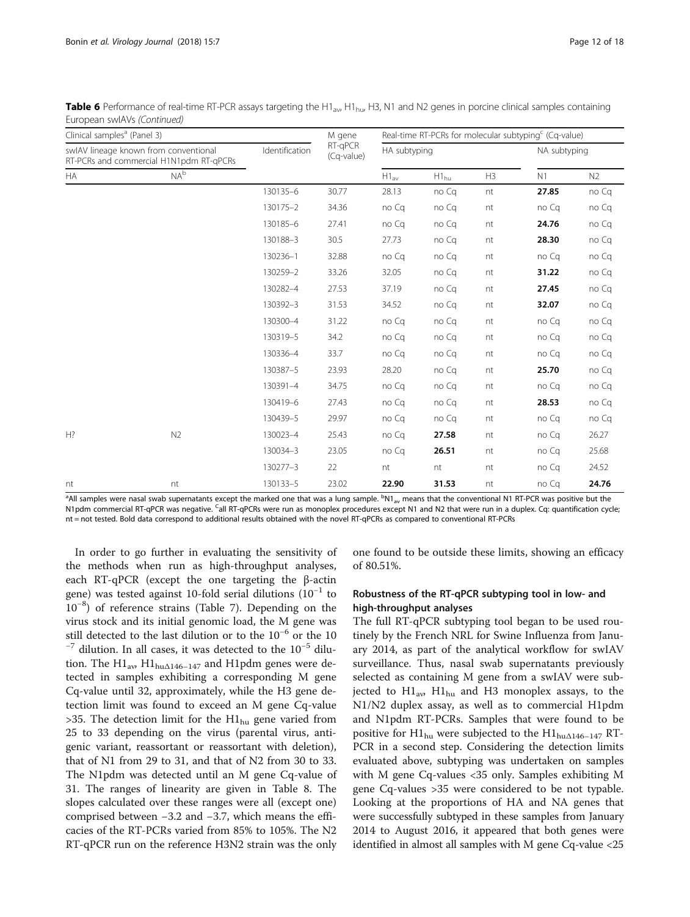| Clinical samples <sup>a</sup> (Panel 3) |                                                                                  |                | M gene<br>RT-qPCR<br>(Cq-value) | Real-time RT-PCRs for molecular subtyping <sup>c</sup> (Cq-value) |           |              |       |       |  |  |
|-----------------------------------------|----------------------------------------------------------------------------------|----------------|---------------------------------|-------------------------------------------------------------------|-----------|--------------|-------|-------|--|--|
|                                         | swIAV lineage known from conventional<br>RT-PCRs and commercial H1N1pdm RT-qPCRs | Identification |                                 | HA subtyping                                                      |           | NA subtyping |       |       |  |  |
| <b>HA</b>                               | NA <sup>b</sup>                                                                  |                |                                 | $H1_{av}$                                                         | $H1_{hu}$ | H3           | N1    | N2    |  |  |
|                                         |                                                                                  | 130135-6       | 30.77                           | 28.13                                                             | no Cq     | nt           | 27.85 | no Cq |  |  |
|                                         |                                                                                  | 130175-2       | 34.36                           | no Cq                                                             | no Cq     | nt           | no Cq | no Cq |  |  |
|                                         |                                                                                  | 130185-6       | 27.41                           | no Cq                                                             | no Cq     | nt           | 24.76 | no Cq |  |  |
|                                         |                                                                                  | 130188-3       | 30.5                            | 27.73                                                             | no Cq     | nt           | 28.30 | no Cq |  |  |
|                                         |                                                                                  | 130236-1       | 32.88                           | no Cq                                                             | no Cq     | nt           | no Cq | no Cq |  |  |
|                                         |                                                                                  | 130259-2       | 33.26                           | 32.05                                                             | no Cq     | nt           | 31.22 | no Cq |  |  |
|                                         |                                                                                  | 130282-4       | 27.53                           | 37.19                                                             | no Cq     | nt           | 27.45 | no Cq |  |  |
|                                         |                                                                                  | 130392-3       | 31.53                           | 34.52                                                             | no Cq     | nt           | 32.07 | no Cq |  |  |
|                                         |                                                                                  | 130300-4       | 31.22                           | no Ca                                                             | no Cq     | nt           | no Ca | no Cq |  |  |
|                                         |                                                                                  | 130319-5       | 34.2                            | no Ca                                                             | no Cq     | nt           | no Cq | no Cq |  |  |
|                                         |                                                                                  | 130336-4       | 33.7                            | no Cq                                                             | no Cq     | nt           | no Ca | no Cq |  |  |
|                                         |                                                                                  | 130387-5       | 23.93                           | 28.20                                                             | no Cq     | nt           | 25.70 | no Cq |  |  |
|                                         |                                                                                  | 130391-4       | 34.75                           | no Cq                                                             | no Cq     | nt           | no Cq | no Cq |  |  |
|                                         |                                                                                  | 130419-6       | 27.43                           | no Cq                                                             | no Cq     | nt           | 28.53 | no Cq |  |  |
|                                         |                                                                                  | 130439-5       | 29.97                           | no Ca                                                             | no Cq     | nt           | no Ca | no Cq |  |  |
| $H$ ?                                   | N2                                                                               | 130023-4       | 25.43                           | no Cq                                                             | 27.58     | nt           | no Cq | 26.27 |  |  |
|                                         |                                                                                  | 130034-3       | 23.05                           | no Cq                                                             | 26.51     | nt           | no Cq | 25.68 |  |  |
|                                         |                                                                                  | 130277-3       | 22                              | nt                                                                | nt        | nt           | no Cq | 24.52 |  |  |
| nt                                      | nt                                                                               | 130133-5       | 23.02                           | 22.90                                                             | 31.53     | nt           | no Cq | 24.76 |  |  |

Table 6 Performance of real-time RT-PCR assays targeting the H1<sub>av</sub>, H1<sub>hu</sub>, H3, N1 and N2 genes in porcine clinical samples containing European swIAVs (Continued)

<sup>a</sup>All samples were nasal swab supernatants except the marked one that was a lung sample. <sup>b</sup>N1<sub>av</sub> means that the conventional N1 RT-PCR was positive but the N1pdm commercial RT-qPCR was negative. <sup>C</sup>all RT-qPCRs were run as monoplex procedures except N1 and N2 that were run in a duplex. Cq: quantification cycle; nt = not tested. Bold data correspond to additional results obtained with the novel RT-qPCRs as compared to conventional RT-PCRs

In order to go further in evaluating the sensitivity of the methods when run as high-throughput analyses, each RT-qPCR (except the one targeting the β-actin gene) was tested against 10-fold serial dilutions  $(10^{-1}$  to 10−<sup>8</sup> ) of reference strains (Table [7](#page-12-0)). Depending on the virus stock and its initial genomic load, the M gene was still detected to the last dilution or to the 10<sup>−6</sup> or the 10<sup>−7</sup> dilution. In all cases, it was detected to the 10<sup>−5</sup> dilution. The  $\text{H1}_{\text{av}}$   $\text{H1}_{\text{hu} \Delta 146-147}$  and H1pdm genes were detected in samples exhibiting a corresponding M gene Cq-value until 32, approximately, while the H3 gene detection limit was found to exceed an M gene Cq-value >35. The detection limit for the  $H1_{hu}$  gene varied from 25 to 33 depending on the virus (parental virus, antigenic variant, reassortant or reassortant with deletion), that of N1 from 29 to 31, and that of N2 from 30 to 33. The N1pdm was detected until an M gene Cq-value of 31. The ranges of linearity are given in Table [8](#page-14-0). The slopes calculated over these ranges were all (except one) comprised between −3.2 and −3.7, which means the efficacies of the RT-PCRs varied from 85% to 105%. The N2 RT-qPCR run on the reference H3N2 strain was the only

one found to be outside these limits, showing an efficacy of 80.51%.

# Robustness of the RT-qPCR subtyping tool in low- and high-throughput analyses

The full RT-qPCR subtyping tool began to be used routinely by the French NRL for Swine Influenza from January 2014, as part of the analytical workflow for swIAV surveillance. Thus, nasal swab supernatants previously selected as containing M gene from a swIAV were subjected to  $H1_{av}$ ,  $H1_{hu}$  and H3 monoplex assays, to the N1/N2 duplex assay, as well as to commercial H1pdm and N1pdm RT-PCRs. Samples that were found to be positive for H1<sub>hu</sub> were subjected to the H1<sub>hu $\Delta$ 146–147 RT-</sub> PCR in a second step. Considering the detection limits evaluated above, subtyping was undertaken on samples with M gene Cq-values <35 only. Samples exhibiting M gene Cq-values >35 were considered to be not typable. Looking at the proportions of HA and NA genes that were successfully subtyped in these samples from January 2014 to August 2016, it appeared that both genes were identified in almost all samples with M gene Cq-value <25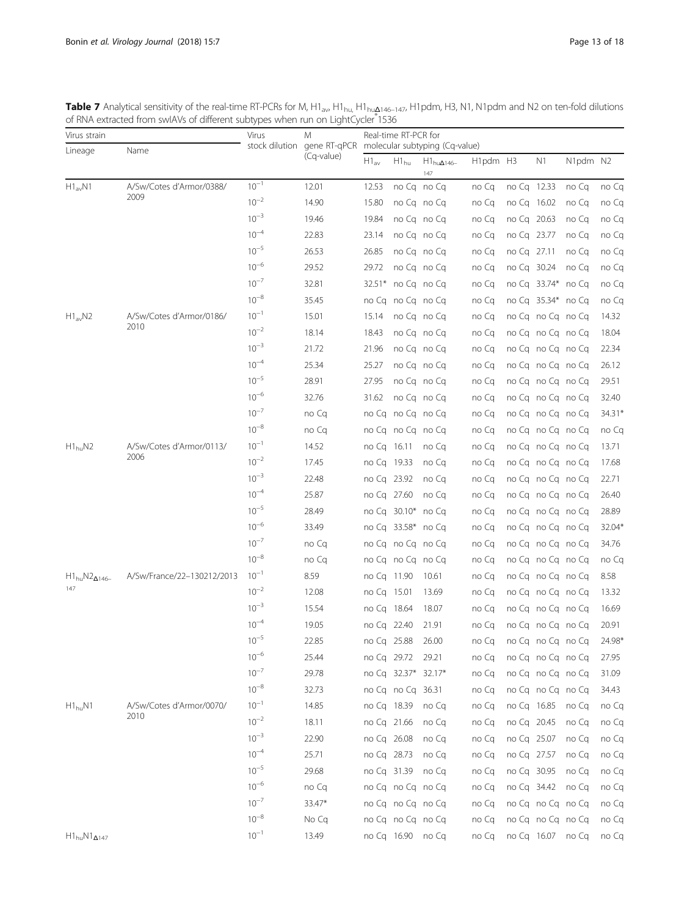<span id="page-12-0"></span>**Table 7** Analytical sensitivity of the real-time RT-PCRs for M, H1<sub>av</sub>, H1<sub>hu,</sub> H1<sub>huΔ146–147</sub>, H1pdm, H3, N1, N1pdm and N2 on ten-fold dilutions of RNA extracted from swIAVs of different subtypes when run on LightCycler<sup>®</sup>1536

| Virus strain              |                            | Virus     | M          | Real-time RT-PCR for<br>stock dilution gene RT-qPCR molecular subtyping (Cq-value) |                      |                             |          |             |                    |          |        |
|---------------------------|----------------------------|-----------|------------|------------------------------------------------------------------------------------|----------------------|-----------------------------|----------|-------------|--------------------|----------|--------|
| Lineage                   | Name                       |           | (Cq-value) |                                                                                    |                      |                             |          |             |                    |          |        |
|                           |                            |           |            | $H1_{av}$                                                                          | $H1_{hu}$            | $H1_{hu\Delta 146-}$<br>147 | H1pdm H3 |             | N1                 | N1pdm N2 |        |
| $H1_{av}N1$               | A/Sw/Cotes d'Armor/0388/   | $10^{-1}$ | 12.01      | 12.53                                                                              |                      | no Cq no Cq                 | no Cq    | no Cq 12.33 |                    | no Cq    | no Cq  |
|                           | 2009                       | $10^{-2}$ | 14.90      | 15.80                                                                              |                      | no Cano Ca                  | no Cq    | no Cq 16.02 |                    | no Cq    | no Cq  |
|                           |                            | $10^{-3}$ | 19.46      | 19.84                                                                              |                      | no Cq no Cq                 | no Cq    | no Cq 20.63 |                    | no Cq    | no Cq  |
|                           |                            | $10^{-4}$ | 22.83      | 23.14                                                                              |                      | no Cq no Cq                 | no Cq    | no Cq 23.77 |                    | no Cq    | no Cq  |
|                           |                            | $10^{-5}$ | 26.53      | 26.85                                                                              |                      | no Cq no Cq                 | no Cq    | no Cq 27.11 |                    | no Cq    | no Cq  |
|                           |                            | $10^{-6}$ | 29.52      | 29.72                                                                              |                      | no Cq no Cq                 | no Cq    | no Cq 30.24 |                    | no Cq    | no Cq  |
|                           |                            | $10^{-7}$ | 32.81      |                                                                                    | $32.51*$ no Cq no Cq |                             | no Cq    |             | no Cq 33.74* no Cq |          | no Cq  |
|                           |                            | $10^{-8}$ | 35.45      |                                                                                    |                      | no Cq no Cq no Cq           | no Cq    |             | no Cq 35.34* no Cq |          | no Cq  |
| $H1_{av}N2$               | A/Sw/Cotes d'Armor/0186/   | $10^{-1}$ | 15.01      | 15.14                                                                              |                      | no Cq no Cq                 | no Cq    |             | no Cq no Cq no Cq  |          | 14.32  |
|                           | 2010                       | $10^{-2}$ | 18.14      | 18.43                                                                              |                      | no Cq no Cq                 | no Cq    |             | no Cq no Cq no Cq  |          | 18.04  |
|                           |                            | $10^{-3}$ | 21.72      | 21.96                                                                              |                      | no Cq no Cq                 | no Cq    |             | no Cq no Cq no Cq  |          | 22.34  |
|                           |                            | $10^{-4}$ | 25.34      | 25.27                                                                              |                      | no Cano Ca                  | no Cq    |             | no Cq no Cq no Cq  |          | 26.12  |
|                           |                            | $10^{-5}$ | 28.91      | 27.95                                                                              |                      | no Cq no Cq                 | no Cq    |             | no Cq no Cq no Cq  |          | 29.51  |
|                           |                            | $10^{-6}$ | 32.76      | 31.62                                                                              |                      | no Cq no Cq                 | no Cq    |             | no Cq no Cq no Cq  |          | 32.40  |
|                           |                            | $10^{-7}$ | no Cq      |                                                                                    | no Cq no Cq no Cq    |                             | no Cq    |             | no Cq no Cq no Cq  |          | 34.31* |
|                           |                            | $10^{-8}$ | no Cq      |                                                                                    | no Cq no Cq no Cq    |                             | no Cq    |             | no Cq no Cq no Cq  |          | no Cq  |
| $H1_{hu}N2$               | A/Sw/Cotes d'Armor/0113/   | $10^{-1}$ | 14.52      | no Cq 16.11                                                                        |                      | no Cq                       | no Cq    |             | no Cq no Cq no Cq  |          | 13.71  |
|                           | 2006                       | $10^{-2}$ | 17.45      | no Cq 19.33                                                                        |                      | no Cq                       | no Cq    |             | no Cq no Cq no Cq  |          | 17.68  |
|                           |                            | $10^{-3}$ | 22.48      | no Cq                                                                              | 23.92                | no Cq                       | no Cq    |             | no Cq no Cq no Cq  |          | 22.71  |
|                           |                            | $10^{-4}$ | 25.87      | no Cq 27.60                                                                        |                      | no Cq                       | no Cq    |             | no Cq no Cq no Cq  |          | 26.40  |
|                           |                            | $10^{-5}$ | 28.49      |                                                                                    | no Cq 30.10* no Cq   |                             | no Cq    |             | no Cq no Cq no Cq  |          | 28.89  |
|                           |                            | $10^{-6}$ | 33.49      |                                                                                    | no Cq 33.58* no Cq   |                             | no Cq    |             | no Cq no Cq no Cq  |          | 32.04* |
|                           |                            | $10^{-7}$ | no Cq      |                                                                                    |                      | no Cq no Cq no Cq           | no Cq    |             | no Cq no Cq no Cq  |          | 34.76  |
|                           |                            | $10^{-8}$ | no Cq      |                                                                                    | no Cq no Cq no Cq    |                             | no Cq    |             | no Cq no Cq no Cq  |          | no Cq  |
| $H1_{hu}N2_{\Delta 146-}$ | A/Sw/France/22-130212/2013 | $10^{-1}$ | 8.59       | no Cq 11.90                                                                        |                      | 10.61                       | no Ca    |             | no Cq no Cq no Cq  |          | 8.58   |
| 147                       |                            | $10^{-2}$ | 12.08      | no Cq 15.01                                                                        |                      | 13.69                       | no Cq    |             | no Cq no Cq no Cq  |          | 13.32  |
|                           |                            | $10^{-3}$ | 15.54      | no Cq 18.64                                                                        |                      | 18.07                       | no Cq    |             | no Cq no Cq no Cq  |          | 16.69  |
|                           |                            | $10^{-4}$ | 19.05      | no Cq                                                                              | 22.40                | 21.91                       | no Cq    |             | no Cq no Cq no Cq  |          | 20.91  |
|                           |                            | $10^{-5}$ | 22.85      | no Cq 25.88                                                                        |                      | 26.00                       | no Cq    |             | no Cq no Cq no Cq  |          | 24.98* |
|                           |                            | $10^{-6}$ | 25.44      | no Cq 29.72                                                                        |                      | 29.21                       | no Cq    |             | no Cq no Cq no Cq  |          | 27.95  |
|                           |                            | $10^{-7}$ | 29.78      |                                                                                    |                      | no Cq 32.37* 32.17*         | no Cq    |             | no Cq no Cq no Cq  |          | 31.09  |
|                           |                            | $10^{-8}$ | 32.73      |                                                                                    | no Cq no Cq 36.31    |                             | no Cq    |             | no Cq no Cq no Cq  |          | 34.43  |
| $H1_{\text{hu}}N1$        | A/Sw/Cotes d'Armor/0070/   | $10^{-1}$ | 14.85      |                                                                                    | no Cq 18.39          | no Cq                       | no Cq    | no Cq 16.85 |                    | no Cq    | no Cq  |
|                           | 2010                       | $10^{-2}$ | 18.11      | no Cq 21.66                                                                        |                      | no Cq                       | no Cq    | no Cq 20.45 |                    | no Cq    | no Cq  |
|                           |                            | $10^{-3}$ | 22.90      | no Cq 26.08                                                                        |                      | no Cq                       | no Cq    | no Cq 25.07 |                    | no Cq    | no Cq  |
|                           |                            | $10^{-4}$ | 25.71      | no Cq 28.73                                                                        |                      | no Cq                       | no Cq    | no Cq 27.57 |                    | no Cq    | no Cq  |
|                           |                            | $10^{-5}$ | 29.68      | no Cq 31.39                                                                        |                      | no Cq                       | no Cq    | no Cq 30.95 |                    | no Cq    | no Cq  |
|                           |                            | $10^{-6}$ | no Cq      |                                                                                    |                      | no Cq no Cq no Cq           | no Cq    | no Cq 34.42 |                    | no Cq    | no Cq  |
|                           |                            | $10^{-7}$ | 33.47*     |                                                                                    |                      | no Cq no Cq no Cq           | no Cq    |             | no Cq no Cq no Cq  |          | no Cq  |
|                           |                            | $10^{-8}$ | No Cq      |                                                                                    |                      | no Cq no Cq no Cq           | no Cq    |             | no Cq no Cq no Cq  |          | no Cq  |
| $H1_{hu}N1_{\Delta 147}$  |                            | $10^{-1}$ | 13.49      |                                                                                    |                      | no Cq 16.90 no Cq           | no Cq    |             | no Cq 16.07        | no Cq    | no Cq  |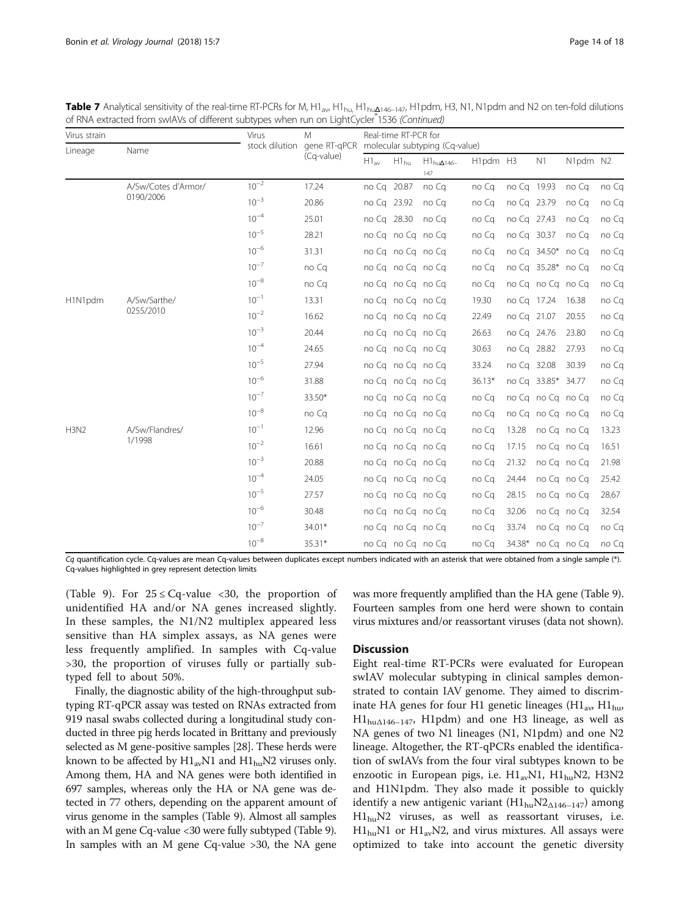**Table 7** Analytical sensitivity of the real-time RT-PCRs for M, H1<sub>av</sub>, H1<sub>hu</sub>, H1<sub>hu</sub> $\Delta$ 146–147, H1pdm, H3, N1, N1pdm and N2 on ten-fold dilutions of RNA extracted from swIAVs of different subtypes when run on LightCycler<sup>®</sup>1536 (Continued)

| Virus strain |                           | Virus     | M                                         | Real-time RT-PCR for |           |                                |          |             |                    |             |       |  |
|--------------|---------------------------|-----------|-------------------------------------------|----------------------|-----------|--------------------------------|----------|-------------|--------------------|-------------|-------|--|
| Lineage      | Name                      |           | stock dilution gene RT-qPCR<br>(Cq-value) |                      |           | molecular subtyping (Cg-value) |          |             |                    |             |       |  |
|              |                           |           |                                           | $H1_{\text{av}}$     | $H1_{hu}$ | $H1_{hu\Delta 146-}$<br>147    | H1pdm H3 |             | N1                 | N1pdm N2    |       |  |
|              | A/Sw/Cotes d'Armor/       | $10^{-2}$ | 17.24                                     | no Cq 20.87          |           | no Ca                          | no Cq    | no Cq 19.93 |                    | no Ca       | no Cq |  |
|              | 0190/2006                 | $10^{-3}$ | 20.86                                     | no Cq 23.92          |           | no Ca                          | no Cq    | no Cq 23.79 |                    | no Cq       | no Cq |  |
|              |                           | $10^{-4}$ | 25.01                                     | no Cq 28.30          |           | no Ca                          | no Cq    | no Cq 27.43 |                    | no Cq       | no Cq |  |
|              |                           | $10^{-5}$ | 28.21                                     |                      |           | no Cq no Cq no Cq              | no Cq    | no Cq 30.37 |                    | no Cg       | no Cq |  |
|              |                           | $10^{-6}$ | 31.31                                     |                      |           | no Cq no Cq no Cq              | no Cq    |             | no Cq 34.50* no Cq |             | no Cq |  |
|              |                           | $10^{-7}$ | no Cq                                     |                      |           | no Cq no Cq no Cq              | no Cq    |             | no Cq 35.28* no Cq |             | no Cq |  |
|              |                           | $10^{-8}$ | no Cq                                     |                      |           | no Cq no Cq no Cq              | no Cq    |             | no Cq no Cq no Cq  |             | no Cq |  |
| H1N1pdm      | A/Sw/Sarthe/<br>0255/2010 | $10^{-1}$ | 13.31                                     |                      |           | no Cq no Cq no Cq              | 19.30    | no Ca 17.24 |                    | 16.38       | no Cq |  |
|              |                           | $10^{-2}$ | 16.62                                     |                      |           | no Cq no Cq no Cq              | 22.49    | no Cq 21.07 |                    | 20.55       | no Cq |  |
|              |                           | $10^{-3}$ | 20.44                                     |                      |           | no Cq no Cq no Cq              | 26.63    | no Cq 24.76 |                    | 23.80       | no Cq |  |
|              |                           | $10^{-4}$ | 24.65                                     |                      |           | no Cq no Cq no Cq              | 30.63    | no Cq 28.82 |                    | 27.93       | no Cq |  |
|              |                           | $10^{-5}$ | 27.94                                     |                      |           | no Cq no Cq no Cq              | 33.24    | no Cq 32.08 |                    | 30.39       | no Cq |  |
|              |                           | $10^{-6}$ | 31.88                                     |                      |           | no Cq no Cq no Cq              | $36.13*$ |             | no Cq 33.85* 34.77 |             | no Cq |  |
|              |                           | $10^{-7}$ | 33.50*                                    |                      |           | no Cq no Cq no Cq              | no Cq    |             | no Cq no Cq no Cq  |             | no Cq |  |
|              |                           | $10^{-8}$ | no Cq                                     |                      |           | no Cq no Cq no Cq              | no Cq    |             | no Cq no Cq no Cq  |             | no Cq |  |
| H3N2         | A/Sw/Flandres/            | $10^{-1}$ | 12.96                                     |                      |           | no Cq no Cq no Cq              | no Cq    | 13.28       |                    | no Cq no Cq | 13.23 |  |
|              | 1/1998                    | $10^{-2}$ | 16.61                                     |                      |           | no Cq no Cq no Cq              | no Cq    | 17.15       |                    | no Cq no Cq | 16.51 |  |
|              |                           | $10^{-3}$ | 20.88                                     |                      |           | no Cq no Cq no Cq              | no Cq    | 21.32       |                    | no Cano Ca  | 21.98 |  |
|              |                           | $10^{-4}$ | 24.05                                     |                      |           | no Cq no Cq no Cq              | no Cq    | 24.44       |                    | no Cq no Cq | 25.42 |  |
|              |                           | $10^{-5}$ | 27.57                                     |                      |           | no Cq no Cq no Cq              | no Cq    | 28.15       |                    | no Cq no Cq | 28.67 |  |
|              |                           | $10^{-6}$ | 30.48                                     |                      |           | no Cq no Cq no Cq              | no Ca    | 32.06       |                    | no Cq no Cq | 32.54 |  |
|              |                           | $10^{-7}$ | 34.01*                                    |                      |           | no Cq no Cq no Cq              | no Cq    | 33.74       |                    | no Cano Ca  | no Cq |  |
|              |                           | $10^{-8}$ | 35.31*                                    |                      |           | no Cq no Cq no Cq              | no Cq    | 34.38*      | no Cq no Cq        |             | no Cq |  |

Cq quantification cycle. Cq-values are mean Cq-values between duplicates except numbers indicated with an asterisk that were obtained from a single sample (\*). Cq-values highlighted in grey represent detection limits

(Table [9\)](#page-15-0). For  $25 \leq Cq$ -value <30, the proportion of unidentified HA and/or NA genes increased slightly. In these samples, the N1/N2 multiplex appeared less sensitive than HA simplex assays, as NA genes were less frequently amplified. In samples with Cq-value >30, the proportion of viruses fully or partially subtyped fell to about 50%.

Finally, the diagnostic ability of the high-throughput subtyping RT-qPCR assay was tested on RNAs extracted from 919 nasal swabs collected during a longitudinal study conducted in three pig herds located in Brittany and previously selected as M gene-positive samples [\[28\]](#page-17-0). These herds were known to be affected by  $H1_{av}N1$  and  $H1_{hu}N2$  viruses only. Among them, HA and NA genes were both identified in 697 samples, whereas only the HA or NA gene was detected in 77 others, depending on the apparent amount of virus genome in the samples (Table [9\)](#page-15-0). Almost all samples with an M gene Cq-value <30 were fully subtyped (Table [9](#page-15-0)). In samples with an M gene Cq-value >30, the NA gene

# was more frequently amplified than the HA gene (Table [9](#page-15-0)). Fourteen samples from one herd were shown to contain virus mixtures and/or reassortant viruses (data not shown).

# **Discussion**

Eight real-time RT-PCRs were evaluated for European swIAV molecular subtyping in clinical samples demonstrated to contain IAV genome. They aimed to discriminate HA genes for four H1 genetic lineages  $(H1_{av} H1_{hw})$  $\text{H1}_{hu\Delta 146-147}$ , H1pdm) and one H3 lineage, as well as NA genes of two N1 lineages (N1, N1pdm) and one N2 lineage. Altogether, the RT-qPCRs enabled the identification of swIAVs from the four viral subtypes known to be enzootic in European pigs, i.e.  $H1_{av}N1$ ,  $H1_{hu}N2$ , H3N2 and H1N1pdm. They also made it possible to quickly identify a new antigenic variant  $(H1_{hu}N2_{\Delta 146-147})$  among  $H1_{hu}N2$  viruses, as well as reassortant viruses, i.e.  $H1_{hu}$ N1 or  $H1_{av}$ N2, and virus mixtures. All assays were optimized to take into account the genetic diversity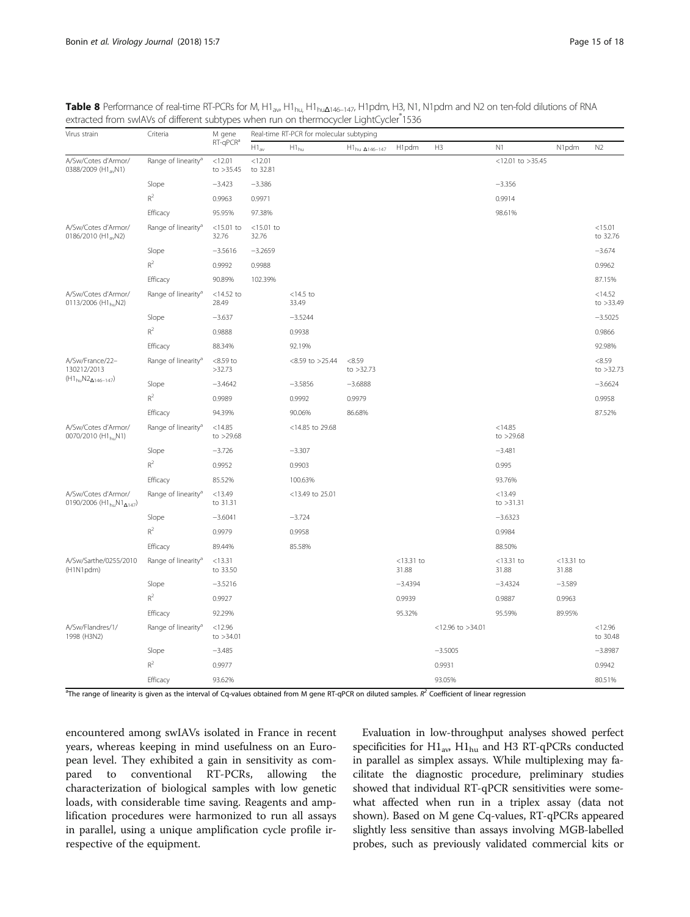| Virus strain                                                     | Criteria                        | M gene<br>RT-qPCR <sup>a</sup> | Real-time RT-PCR for molecular subtyping |                      |                          |                       |                  |                        |                       |                       |
|------------------------------------------------------------------|---------------------------------|--------------------------------|------------------------------------------|----------------------|--------------------------|-----------------------|------------------|------------------------|-----------------------|-----------------------|
|                                                                  |                                 |                                | $H1_{av}$                                | $H1_{hu}$            | $H1_{hu\ \Delta146-147}$ | H1pdm                 | H3               | N <sub>1</sub>         | N1pdm                 | N2                    |
| A/Sw/Cotes d'Armor/<br>0388/2009 (H1 <sub>av</sub> N1)           | Range of linearity <sup>a</sup> | < 12.01<br>to $>35.45$         | < 12.01<br>to 32.81                      |                      |                          |                       |                  | $<$ 12.01 to >35.45    |                       |                       |
|                                                                  | Slope                           | $-3.423$                       | $-3.386$                                 |                      |                          |                       |                  | $-3.356$               |                       |                       |
|                                                                  | $R^2$                           | 0.9963                         | 0.9971                                   |                      |                          |                       |                  | 0.9914                 |                       |                       |
|                                                                  | Efficacy                        | 95.95%                         | 97.38%                                   |                      |                          |                       |                  | 98.61%                 |                       |                       |
| A/Sw/Cotes d'Armor/<br>0186/2010 (H1 <sub>av</sub> N2)           | Range of linearity <sup>a</sup> | $<$ 15.01 to<br>32.76          | $<$ 15.01 to<br>32.76                    |                      |                          |                       |                  |                        |                       | < 15.01<br>to 32.76   |
|                                                                  | Slope                           | $-3.5616$                      | $-3.2659$                                |                      |                          |                       |                  |                        |                       | $-3.674$              |
|                                                                  | $R^2$                           | 0.9992                         | 0.9988                                   |                      |                          |                       |                  |                        |                       | 0.9962                |
|                                                                  | Efficacy                        | 90.89%                         | 102.39%                                  |                      |                          |                       |                  |                        |                       | 87.15%                |
| A/Sw/Cotes d'Armor/<br>0113/2006 (H1 <sub>bu</sub> N2)           | Range of linearity <sup>a</sup> | $<$ 14.52 to<br>28.49          |                                          | $<$ 14.5 to<br>33.49 |                          |                       |                  |                        |                       | < 14.52<br>to >33.49  |
|                                                                  | Slope                           | $-3.637$                       |                                          | $-3.5244$            |                          |                       |                  |                        |                       | $-3.5025$             |
|                                                                  | $R^2$                           | 0.9888                         |                                          | 0.9938               |                          |                       |                  |                        |                       | 0.9866                |
|                                                                  | Efficacy                        | 88.34%                         |                                          | 92.19%               |                          |                       |                  |                        |                       | 92.98%                |
| A/Sw/France/22-<br>130212/2013<br>$(H1_{hu}N2_{\Delta 146-147})$ | Range of linearity <sup>a</sup> | $<8.59$ to<br>>32.73           |                                          | $<8.59$ to $>25.44$  | < 8.59<br>to $>32.73$    |                       |                  |                        |                       | < 8.59<br>to $>32.73$ |
|                                                                  | Slope                           | $-3.4642$                      |                                          | $-3.5856$            | $-3.6888$                |                       |                  |                        |                       | $-3.6624$             |
|                                                                  | $R^2$                           | 0.9989                         |                                          | 0.9992               | 0.9979                   |                       |                  |                        |                       | 0.9958                |
|                                                                  | Efficacy                        | 94.39%                         |                                          | 90.06%               | 86.68%                   |                       |                  |                        |                       | 87.52%                |
| A/Sw/Cotes d'Armor/<br>0070/2010 (H1 <sub>hu</sub> N1)           | Range of linearity <sup>a</sup> | < 14.85<br>to >29.68           |                                          | <14.85 to 29.68      |                          |                       |                  | < 14.85<br>to $>29.68$ |                       |                       |
|                                                                  | Slope                           | $-3.726$                       |                                          | $-3.307$             |                          |                       |                  | $-3.481$               |                       |                       |
|                                                                  | $R^2$                           | 0.9952                         |                                          | 0.9903               |                          |                       |                  | 0.995                  |                       |                       |
|                                                                  | Efficacy                        | 85.52%                         |                                          | 100.63%              |                          |                       |                  | 93.76%                 |                       |                       |
| A/Sw/Cotes d'Armor/<br>0190/2006 ( $H1_{hu}N1_{A147}$ )          | Range of linearity <sup>a</sup> | < 13.49<br>to 31.31            |                                          | <13.49 to 25.01      |                          |                       |                  | < 13.49<br>to $>31.31$ |                       |                       |
|                                                                  | Slope                           | $-3.6041$                      |                                          | $-3.724$             |                          |                       |                  | $-3.6323$              |                       |                       |
|                                                                  | $R^2$                           | 0.9979                         |                                          | 0.9958               |                          |                       |                  | 0.9984                 |                       |                       |
|                                                                  | Efficacy                        | 89.44%                         |                                          | 85.58%               |                          |                       |                  | 88.50%                 |                       |                       |
| A/Sw/Sarthe/0255/2010<br>(H1N1pdm)                               | Range of linearity <sup>a</sup> | <13.31<br>to 33.50             |                                          |                      |                          | $<$ 13.31 to<br>31.88 |                  | $<$ 13.31 to<br>31.88  | $<$ 13.31 to<br>31.88 |                       |
|                                                                  | Slope                           | $-3.5216$                      |                                          |                      |                          | $-3.4394$             |                  | $-3.4324$              | $-3.589$              |                       |
|                                                                  | $R^2$                           | 0.9927                         |                                          |                      |                          | 0.9939                |                  | 0.9887                 | 0.9963                |                       |
|                                                                  | Efficacy                        | 92.29%                         |                                          |                      |                          | 95.32%                |                  | 95.59%                 | 89.95%                |                       |
| A/Sw/Flandres/1/<br>1998 (H3N2)                                  | Range of linearity <sup>a</sup> | < 12.96<br>to $>34.01$         |                                          |                      |                          |                       | <12.96 to >34.01 |                        |                       | < 12.96<br>to 30.48   |
|                                                                  | Slope                           | $-3.485$                       |                                          |                      |                          |                       | $-3.5005$        |                        |                       | $-3.8987$             |
|                                                                  | $R^2$                           | 0.9977                         |                                          |                      |                          |                       | 0.9931           |                        |                       | 0.9942                |
|                                                                  | Efficacy                        | 93.62%                         |                                          |                      |                          |                       | 93.05%           |                        |                       | 80.51%                |

<span id="page-14-0"></span>Table 8 Performance of real-time RT-PCRs for M, H1<sub>av</sub>, H1<sub>hu,</sub> H1<sub>hu</sub><sub> $\text{Li}_{1}$ u<sub>46–147</sub>, H1pdm, H3, N1, N1pdm and N2 on ten-fold dilutions of RNA</sub> extracted from swIAVs of different subtypes when run on thermocycler LightCycler 1536

<sup>a</sup>The range of linearity is given as the interval of Cq-values obtained from M gene RT-qPCR on diluted samples.  $R^2$  Coefficient of linear regression

encountered among swIAVs isolated in France in recent years, whereas keeping in mind usefulness on an European level. They exhibited a gain in sensitivity as compared to conventional RT-PCRs, allowing the characterization of biological samples with low genetic loads, with considerable time saving. Reagents and amplification procedures were harmonized to run all assays in parallel, using a unique amplification cycle profile irrespective of the equipment.

Evaluation in low-throughput analyses showed perfect specificities for  $H1_{av}$ ,  $H1_{hu}$  and H3 RT-qPCRs conducted in parallel as simplex assays. While multiplexing may facilitate the diagnostic procedure, preliminary studies showed that individual RT-qPCR sensitivities were somewhat affected when run in a triplex assay (data not shown). Based on M gene Cq-values, RT-qPCRs appeared slightly less sensitive than assays involving MGB-labelled probes, such as previously validated commercial kits or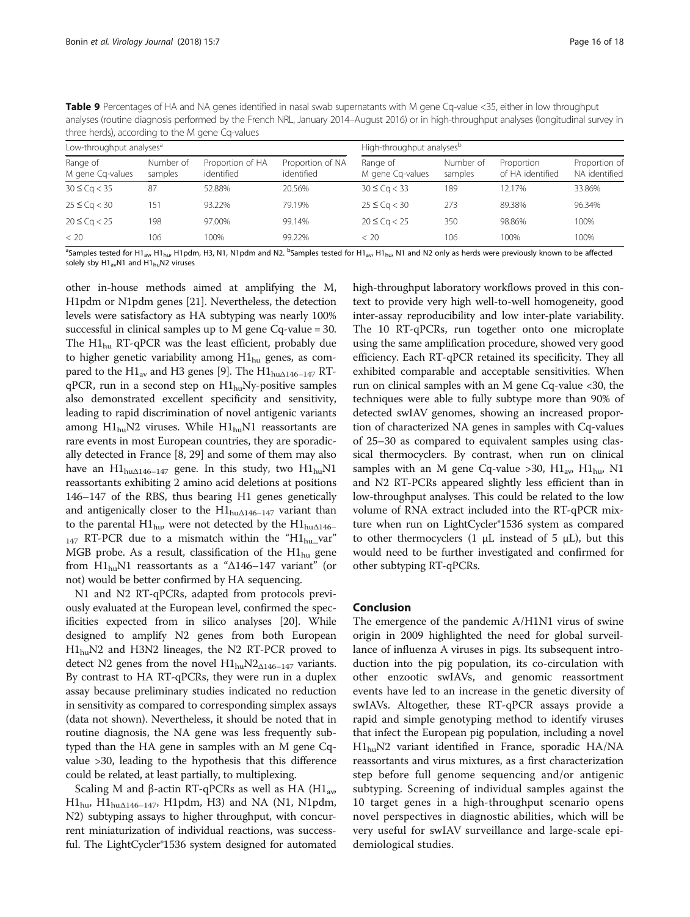<span id="page-15-0"></span>Table 9 Percentages of HA and NA genes identified in nasal swab supernatants with M gene Cq-value <35, either in low throughput analyses (routine diagnosis performed by the French NRL, January 2014–August 2016) or in high-throughput analyses (longitudinal survey in three herds), according to the M gene Cq-values

| Low-throughput analyses <sup>a</sup> |                      |                                |                                | High-throughput analyses <sup>b</sup> |                      |                                |                                |  |  |
|--------------------------------------|----------------------|--------------------------------|--------------------------------|---------------------------------------|----------------------|--------------------------------|--------------------------------|--|--|
| Range of<br>M gene Cg-values         | Number of<br>samples | Proportion of HA<br>identified | Proportion of NA<br>identified | Range of<br>M gene Cg-values          | Number of<br>samples | Proportion<br>of HA identified | Proportion of<br>NA identified |  |  |
| $30 \leq Cq < 35$                    | 87                   | 52.88%                         | 20.56%                         | $30 \leq Cq < 33$                     | 189                  | 12.17%                         | 33.86%                         |  |  |
| $25 \leq Cq < 30$                    | 151                  | 93.22%                         | 79.19%                         | $25 \leq$ Ca $<$ 30                   | 273                  | 89.38%                         | 96.34%                         |  |  |
| $20 \leq Cq < 25$                    | 198                  | 97.00%                         | 99.14%                         | $20 \leq Cq < 25$                     | 350                  | 98.86%                         | 100%                           |  |  |
| < 20                                 | 106                  | 100%                           | 99.22%                         | < 20                                  | 106                  | 100%                           | 100%                           |  |  |

<sup>a</sup>Samples tested for H1<sub>av</sub>, H1<sub>hu</sub>, H1pdm, H3, N1, N1pdm and N2. <sup>b</sup>Samples tested for H1<sub>av</sub>, H1<sub>hu</sub>, N1 and N2 only as herds were previously known to be affected solely sby  $H1_{av}N1$  and  $H1_{hu}N2$  viruses

other in-house methods aimed at amplifying the M, H1pdm or N1pdm genes [[21](#page-16-0)]. Nevertheless, the detection levels were satisfactory as HA subtyping was nearly 100% successful in clinical samples up to M gene Cq-value = 30. The  $H1_{\text{hu}}$  RT-qPCR was the least efficient, probably due to higher genetic variability among  $H1_{hu}$  genes, as com-pared to the H1<sub>av</sub> and H3 genes [\[9](#page-16-0)]. The H1<sub>hu $\triangle$ 146–147</sub> RTqPCR, run in a second step on  $H1_{hu}Ny$ -positive samples also demonstrated excellent specificity and sensitivity, leading to rapid discrimination of novel antigenic variants among  $H1_{hu}N2$  viruses. While  $H1_{hu}N1$  reassortants are rare events in most European countries, they are sporadically detected in France [[8](#page-16-0), [29](#page-17-0)] and some of them may also have an  $\text{H1}_{\text{hu} \Delta 146-147}$  gene. In this study, two  $\text{H1}_{\text{hu}}\text{N1}$ reassortants exhibiting 2 amino acid deletions at positions 146–147 of the RBS, thus bearing H1 genes genetically and antigenically closer to the  $H1_{hu\Delta 146-147}$  variant than to the parental  $\text{H1}_{\text{hu}}$ , were not detected by the  $\text{H1}_{\text{hu}\Delta146-}$  $_{147}$  RT-PCR due to a mismatch within the "H1<sub>hu</sub>\_var" MGB probe. As a result, classification of the  $H1_{\text{hu}}$  gene from H1<sub>hu</sub>N1 reassortants as a " $\Delta$ 146–147 variant" (or not) would be better confirmed by HA sequencing.

N1 and N2 RT-qPCRs, adapted from protocols previously evaluated at the European level, confirmed the specificities expected from in silico analyses [[20](#page-16-0)]. While designed to amplify N2 genes from both European H1<sub>hu</sub>N2 and H3N2 lineages, the N2 RT-PCR proved to detect N2 genes from the novel  $H1_{hu}N2_{\Delta 146-147}$  variants. By contrast to HA RT-qPCRs, they were run in a duplex assay because preliminary studies indicated no reduction in sensitivity as compared to corresponding simplex assays (data not shown). Nevertheless, it should be noted that in routine diagnosis, the NA gene was less frequently subtyped than the HA gene in samples with an M gene Cqvalue >30, leading to the hypothesis that this difference could be related, at least partially, to multiplexing.

Scaling M and β-actin RT-qPCRs as well as HA (H1<sub>av</sub>,  $H1_{hu}$ ,  $H1_{hu\Delta 146-147}$ , H1pdm, H3) and NA (N1, N1pdm, N2) subtyping assays to higher throughput, with concurrent miniaturization of individual reactions, was successful. The LightCycler®1536 system designed for automated high-throughput laboratory workflows proved in this context to provide very high well-to-well homogeneity, good inter-assay reproducibility and low inter-plate variability. The 10 RT-qPCRs, run together onto one microplate using the same amplification procedure, showed very good efficiency. Each RT-qPCR retained its specificity. They all exhibited comparable and acceptable sensitivities. When run on clinical samples with an M gene Cq-value <30, the techniques were able to fully subtype more than 90% of detected swIAV genomes, showing an increased proportion of characterized NA genes in samples with Cq-values of 25–30 as compared to equivalent samples using classical thermocyclers. By contrast, when run on clinical samples with an M gene Cq-value > 30,  $H1_{av}$ ,  $H1_{huv}$  N1 and N2 RT-PCRs appeared slightly less efficient than in low-throughput analyses. This could be related to the low volume of RNA extract included into the RT-qPCR mixture when run on LightCycler®1536 system as compared to other thermocyclers  $(1 \mu L)$  instead of 5  $\mu L$ ), but this would need to be further investigated and confirmed for other subtyping RT-qPCRs.

# Conclusion

The emergence of the pandemic A/H1N1 virus of swine origin in 2009 highlighted the need for global surveillance of influenza A viruses in pigs. Its subsequent introduction into the pig population, its co-circulation with other enzootic swIAVs, and genomic reassortment events have led to an increase in the genetic diversity of swIAVs. Altogether, these RT-qPCR assays provide a rapid and simple genotyping method to identify viruses that infect the European pig population, including a novel  $H1_{hu}N2$  variant identified in France, sporadic HA/NA reassortants and virus mixtures, as a first characterization step before full genome sequencing and/or antigenic subtyping. Screening of individual samples against the 10 target genes in a high-throughput scenario opens novel perspectives in diagnostic abilities, which will be very useful for swIAV surveillance and large-scale epidemiological studies.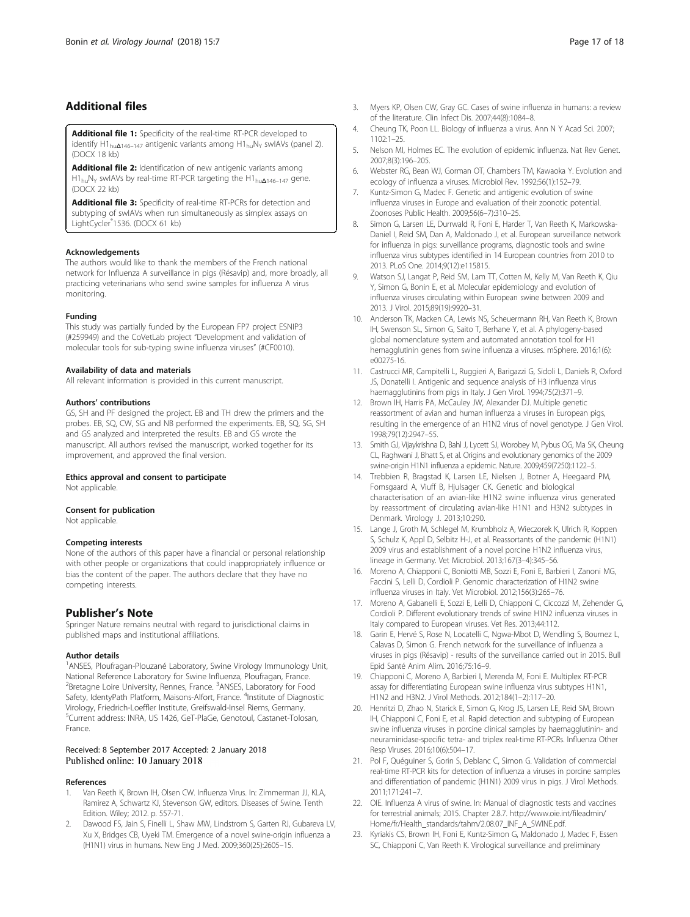# <span id="page-16-0"></span>Additional files

[Additional file 1:](dx.doi.org/10.1186/s12985-018-0920-z) Specificity of the real-time RT-PCR developed to identify H1<sub>hu $\Delta$ 146–147 antigenic variants among H1<sub>hu</sub>N<sub>Y</sub> swIAVs (panel 2).</sub> (DOCX 18 kb)

[Additional file 2:](dx.doi.org/10.1186/s12985-018-0920-z) Identification of new antigenic variants among H1huNY swIAVs by real-time RT-PCR targeting the H1hu<sup>Δ</sup>146–<sup>147</sup> gene. (DOCX 22 kb)

[Additional file 3:](dx.doi.org/10.1186/s12985-018-0920-z) Specificity of real-time RT-PCRs for detection and subtyping of swIAVs when run simultaneously as simplex assays on LightCycler® 1536. (DOCX 61 kb)

#### Acknowledgements

The authors would like to thank the members of the French national network for Influenza A surveillance in pigs (Résavip) and, more broadly, all practicing veterinarians who send swine samples for influenza A virus monitoring.

### Funding

This study was partially funded by the European FP7 project ESNIP3 (#259949) and the CoVetLab project "Development and validation of molecular tools for sub-typing swine influenza viruses" (#CF0010).

#### Availability of data and materials

All relevant information is provided in this current manuscript.

### Authors' contributions

GS, SH and PF designed the project. EB and TH drew the primers and the probes. EB, SQ, CW, SG and NB performed the experiments. EB, SQ, SG, SH and GS analyzed and interpreted the results. EB and GS wrote the manuscript. All authors revised the manuscript, worked together for its improvement, and approved the final version.

#### Ethics approval and consent to participate

Not applicable.

#### Consent for publication

Not applicable.

#### Competing interests

None of the authors of this paper have a financial or personal relationship with other people or organizations that could inappropriately influence or bias the content of the paper. The authors declare that they have no competing interests.

# Publisher's Note

Springer Nature remains neutral with regard to jurisdictional claims in published maps and institutional affiliations.

#### Author details

<sup>1</sup> ANSES, Ploufragan-Plouzané Laboratory, Swine Virology Immunology Unit, National Reference Laboratory for Swine Influenza, Ploufragan, France. <sup>2</sup> Bretagne Loire University, Rennes, France. <sup>3</sup> ANSES, Laboratory for Food Safety, IdentyPath Platform, Maisons-Alfort, France. <sup>4</sup>Institute of Diagnostic Virology, Friedrich-Loeffler Institute, Greifswald-Insel Riems, Germany. 5 Current address: INRA, US 1426, GeT-PlaGe, Genotoul, Castanet-Tolosan, France.

### Received: 8 September 2017 Accepted: 2 January 2018 Published online: 10 January 2018

### References

- Van Reeth K, Brown IH, Olsen CW. Influenza Virus. In: Zimmerman JJ, KLA, Ramirez A, Schwartz KJ, Stevenson GW, editors. Diseases of Swine. Tenth Edition. Wiley; 2012. p. 557-71.
- 2. Dawood FS, Jain S, Finelli L, Shaw MW, Lindstrom S, Garten RJ, Gubareva LV, Xu X, Bridges CB, Uyeki TM. Emergence of a novel swine-origin influenza a (H1N1) virus in humans. New Eng J Med. 2009;360(25):2605–15.
- 3. Myers KP, Olsen CW, Gray GC. Cases of swine influenza in humans: a review of the literature. Clin Infect Dis. 2007;44(8):1084–8.
- 4. Cheung TK, Poon LL. Biology of influenza a virus. Ann N Y Acad Sci. 2007; 1102:1–25.
- 5. Nelson MI, Holmes EC. The evolution of epidemic influenza. Nat Rev Genet. 2007;8(3):196–205.
- 6. Webster RG, Bean WJ, Gorman OT, Chambers TM, Kawaoka Y. Evolution and ecology of influenza a viruses. Microbiol Rev. 1992;56(1):152–79.
- 7. Kuntz-Simon G, Madec F. Genetic and antigenic evolution of swine influenza viruses in Europe and evaluation of their zoonotic potential. Zoonoses Public Health. 2009;56(6–7):310–25.
- 8. Simon G, Larsen LE, Durrwald R, Foni E, Harder T, Van Reeth K, Markowska-Daniel I, Reid SM, Dan A, Maldonado J, et al. European surveillance network for influenza in pigs: surveillance programs, diagnostic tools and swine influenza virus subtypes identified in 14 European countries from 2010 to 2013. PLoS One. 2014;9(12):e115815.
- 9. Watson SJ, Langat P, Reid SM, Lam TT, Cotten M, Kelly M, Van Reeth K, Qiu Y, Simon G, Bonin E, et al. Molecular epidemiology and evolution of influenza viruses circulating within European swine between 2009 and 2013. J Virol. 2015;89(19):9920–31.
- 10. Anderson TK, Macken CA, Lewis NS, Scheuermann RH, Van Reeth K, Brown IH, Swenson SL, Simon G, Saito T, Berhane Y, et al. A phylogeny-based global nomenclature system and automated annotation tool for H1 hemagglutinin genes from swine influenza a viruses. mSphere. 2016;1(6): e00275-16.
- 11. Castrucci MR, Campitelli L, Ruggieri A, Barigazzi G, Sidoli L, Daniels R, Oxford JS, Donatelli I. Antigenic and sequence analysis of H3 influenza virus haemagglutinins from pigs in Italy. J Gen Virol. 1994;75(2):371-9.
- 12. Brown IH, Harris PA, McCauley JW, Alexander DJ. Multiple genetic reassortment of avian and human influenza a viruses in European pigs, resulting in the emergence of an H1N2 virus of novel genotype. J Gen Virol. 1998;79(12):2947–55.
- 13. Smith GJ, Vijaykrishna D, Bahl J, Lycett SJ, Worobey M, Pybus OG, Ma SK, Cheung CL, Raghwani J, Bhatt S, et al. Origins and evolutionary genomics of the 2009 swine-origin H1N1 influenza a epidemic. Nature. 2009;459(7250):1122–5.
- 14. Trebbien R, Bragstad K, Larsen LE, Nielsen J, Botner A, Heegaard PM, Fomsgaard A, Viuff B, Hjulsager CK. Genetic and biological characterisation of an avian-like H1N2 swine influenza virus generated by reassortment of circulating avian-like H1N1 and H3N2 subtypes in Denmark. Virology J. 2013;10:290.
- 15. Lange J, Groth M, Schlegel M, Krumbholz A, Wieczorek K, Ulrich R, Koppen S, Schulz K, Appl D, Selbitz H-J, et al. Reassortants of the pandemic (H1N1) 2009 virus and establishment of a novel porcine H1N2 influenza virus, lineage in Germany. Vet Microbiol. 2013;167(3–4):345–56.
- 16. Moreno A, Chiapponi C, Boniotti MB, Sozzi E, Foni E, Barbieri I, Zanoni MG, Faccini S, Lelli D, Cordioli P. Genomic characterization of H1N2 swine influenza viruses in Italy. Vet Microbiol. 2012;156(3):265–76.
- 17. Moreno A, Gabanelli E, Sozzi E, Lelli D, Chiapponi C, Ciccozzi M, Zehender G, Cordioli P. Different evolutionary trends of swine H1N2 influenza viruses in Italy compared to European viruses. Vet Res. 2013;44:112.
- 18. Garin E, Hervé S, Rose N, Locatelli C, Ngwa-Mbot D, Wendling S, Bournez L, Calavas D, Simon G. French network for the surveillance of influenza a viruses in pigs (Résavip) - results of the surveillance carried out in 2015. Bull Epid Santé Anim Alim. 2016;75:16–9.
- 19. Chiapponi C, Moreno A, Barbieri I, Merenda M, Foni E. Multiplex RT-PCR assay for differentiating European swine influenza virus subtypes H1N1, H1N2 and H3N2. J Virol Methods. 2012;184(1–2):117–20.
- 20. Henritzi D, Zhao N, Starick E, Simon G, Krog JS, Larsen LE, Reid SM, Brown IH, Chiapponi C, Foni E, et al. Rapid detection and subtyping of European swine influenza viruses in porcine clinical samples by haemagglutinin- and neuraminidase-specific tetra- and triplex real-time RT-PCRs. Influenza Other Resp Viruses. 2016;10(6):504–17.
- 21. Pol F, Quéguiner S, Gorin S, Deblanc C, Simon G. Validation of commercial real-time RT-PCR kits for detection of influenza a viruses in porcine samples and differentiation of pandemic (H1N1) 2009 virus in pigs. J Virol Methods. 2011;171:241–7.
- 22. OIE. Influenza A virus of swine. In: Manual of diagnostic tests and vaccines for terrestrial animals; 2015. Chapter 2.8.7. [http://www.oie.int/fileadmin/](http://www.oie.int/fileadmin/Home/fr/Health_standards/tahm/2.08.07_INF_A_SWINE.pdf) [Home/fr/Health\\_standards/tahm/2.08.07\\_INF\\_A\\_SWINE.pdf.](http://www.oie.int/fileadmin/Home/fr/Health_standards/tahm/2.08.07_INF_A_SWINE.pdf)
- 23. Kyriakis CS, Brown IH, Foni E, Kuntz-Simon G, Maldonado J, Madec F, Essen SC, Chiapponi C, Van Reeth K. Virological surveillance and preliminary